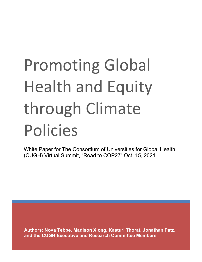# Promoting Global Health and Equity through Climate Policies

White Paper for The Consortium of Universities for Global Health (CUGH) Virtual Summit, "Road to COP27" Oct. 15, 2021

**Authors: Nova Tebbe, Madison Xiong, Kasturi Thorat, Jonathan Patz,**  and the CUGH Executive and Research Committee Members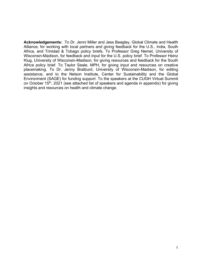**Acknowledgements:** To Dr. Jenni Miller and Jess Beagley, Global Climate and Health Alliance, for working with local partners and giving feedback for the U.S., India, South Africa, and Trinidad & Tobago policy briefs. To Professor Greg Nemet, University of Wisconsin-Madison, for feedback and input for the U.S. policy brief. To Professor Heinz Klug, University of Wisconsin-Madison, for giving resources and feedback for the South Africa policy brief. To Taylor Seale, MPH, for giving input and resources on creative placemaking. To Dr. Jenny Bratburd, University of Wisconsin-Madison, for editing assistance, and to the Nelson Institute, Center for Sustainability and the Global Environment (SAGE) for funding support. To the speakers at the CUGH Virtual Summit on October 15<sup>th</sup>, 2021 (see attached list of speakers and agenda in appendix) for giving insights and resources on health and climate change.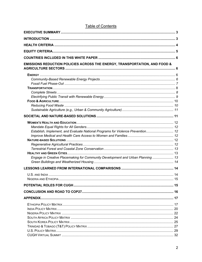| <b>EMISSIONS REDUCTION POLICIES ACROSS THE ENERGY, TRANSPORTATION, AND FOOD &amp;</b> |  |
|---------------------------------------------------------------------------------------|--|
|                                                                                       |  |
|                                                                                       |  |
|                                                                                       |  |
|                                                                                       |  |
|                                                                                       |  |
|                                                                                       |  |
|                                                                                       |  |
|                                                                                       |  |
|                                                                                       |  |
|                                                                                       |  |
|                                                                                       |  |
| Establish, Implement, and Evaluate National Programs for Violence Prevention 12       |  |
|                                                                                       |  |
|                                                                                       |  |
|                                                                                       |  |
|                                                                                       |  |
| Engage in Creative Placemaking for Community Development and Urban Planning 13        |  |
|                                                                                       |  |
|                                                                                       |  |
|                                                                                       |  |
|                                                                                       |  |
|                                                                                       |  |
|                                                                                       |  |
|                                                                                       |  |
|                                                                                       |  |
|                                                                                       |  |
|                                                                                       |  |
|                                                                                       |  |
|                                                                                       |  |
|                                                                                       |  |
|                                                                                       |  |
|                                                                                       |  |
|                                                                                       |  |

# **Table of Contents**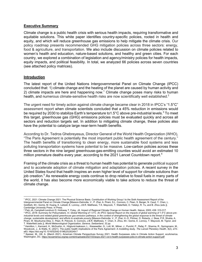#### **Executive Summary**

Climate change is a public health crisis with serious health impacts, requiring transformative and equitable solutions. This white paper identifies country-specific policies, rooted in health and equity, and which will reduce greenhouse gas emissions to help mitigate the climate crisis. Our policy roadmap presents recommended GHG mitigation policies across three sectors: energy, food & agriculture, and transportation. We also include discussion on climate policies related to women's health and education, nature-based solutions, and healthy and green cities. For each country, we explored a combination of legislation and agency/ministry policies for health impacts, equity impacts, and political feasibility. In total, we analyzed 66 policies across seven countries (see attached policy matrices).

#### **Introduction**

The latest report of the United Nations Intergovernmental Panel on Climate Change (IPCC) concluded that: 1) climate change and the heating of the planet are caused by human activity and 2) climate impacts are here and happening now.<sup>1</sup> Climate change poses many risks to human health, and numerous climate-sensitive health risks are now scientifically well established.<sup>2</sup>

The urgent need for timely action against climate change became clear in 2018 in IPCC's "1.5°C" assessment report when climate scientists concluded that a 45% reduction in emissions would be required by 2030 to stabilize Earth's temperature to 1.5 $\degree$ C above pre-industrial levels.<sup>3</sup> To meet this target, greenhouse gas (GHG) emissions policies must be evaluated quickly and across all sectors and reduction targets set. In addition to mitigating climate change, these policies also have the potential to catalyze large near-term health benefits.

According to Dr. Tedros Ghebreyesus, Director General of the World Health Organization (WHO), "The Paris Agreement is potentially the most important public health agreement of the century." The health benefits of transitioning to clean energy, more sustainable food systems and less polluting transportation systems have potential to be massive. Low-carbon policies across these three sectors in the nine largest greenhouse-gas-emitting counties would avoid an estimated 10 million premature deaths every year, according to the 2021 Lancet Countdown report.<sup>4</sup>

Framing of the climate crisis as a threat to human health has potential to generate political support and to accelerate adoption of climate mitigation and adaptation policies. A recent survey in the United States found that health inspires an even higher level of support for climate solutions than job creation.<sup>5</sup> As renewable energy costs continue to drop relative to fossil fuels in many parts of the world, it has also become more economically viable to take actions to reduce the threat of climate change.

<sup>1</sup> IPCC, 2021: Climate Change 2021: The Physical Science Basis. Contribution of Working Group I to the Sixth Assessment Report of the Intergovernmental Panel on Climate Change [Masson-Delmotte, V., P. Zhai, A. Pirani, S.L. Connors, C. Péan, S. Berger, N. Caud, Y. Chen, L. Goldfarb, M.I. Gomis, M. Huang, K. Leitzell, E. Lonnoy, J.B.R. Matthews, T.K. Maycock, T. Waterfield, O. Yelekçi, R. Yu, and B. Zhou (eds.)]. Cambridge University Press. In Press.

<sup>&</sup>lt;sup>2</sup> Patz JA, Campbell-Lendrum D, Holloway T, Foley, JA. Impact of Regional Climate Change on Human Health. Nature, 2005; 438: 310-317.<br><sup>3</sup> IPCC, 2018: Summary for Policymakers. In: Global Warming of 1.5°C. An IPCC Special *industrial levels and related global greenhouse gas emission pathways, in the context of strengthening the global response to the threat of climate change, sustainable development, and efforts to eradicate poverty* [Masson-Delmotte, V., P. Zhai, H.-O. Pörtner, D. Roberts, J. Skea, P.R. Shukla, A. Pirani, W. Moufouma-Okia, C. Péan, R. Pidcock, S. Connors, J.B.R. Matthews, Y. Chen, X. Zhou, M.I. Gomis, E. Lonnoy, T. Maycock, M. Tignor, and T. Waterfield (eds.)]. *World Meteorological Organization, Geneva, Switzerland, 32 pp.*

<sup>4</sup> Hamilton, I., Kennard, H., McGushin, A., Höglund-Isaksson, L., Kiesewetter, G., Lott, M., Milner, J., Purohit, P., Rafaj, P., Sharma, R., Springmann, M., Woodcock, J., & Watts, N. (2021). The public health implications of the Paris Agreement: A modelling study. *The Lancet Planetary Health*, *5*(2), e74–

e83. https://doi.org/10.1016/S2542-5196(20)30249-7<br><sup>5</sup> Speiser, M., Hill, A. (March 2021). American Climate Perspectives Survey 2021. Health Surpasses Jobs in Climate Action Support. ecoAmerica. Washington, DC. https://ecoamerica.org/wp-content/uploads/2021/03/acps-2021-vol-ii-health-surpasses-jobs-in-climate-action-support.pdf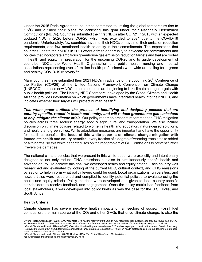Under the 2015 Paris Agreement, countries committed to limiting the global temperature rise to 1.5°C and outlined their plans for achieving this goal under their Nationally Determined Contributions (NDCs). Countries submitted their first NDCs after COP21 in 2015 with an expected updated NDC in 2020 before COP26, which was extended to 2021 due to the COVID-19 pandemic. Unfortunately, few countries have met their NDCs or have met their emission reduction requirements, and few mentioned health or equity in their commitments. The expectation that countries update their NDCs in 2021 offers a fresh opportunity to advocate for commitments and policies that incorporate ambitious greenhouse gas emission reduction targets and that are rooted in health and equity. In preparation for the upcoming COP26 and to guide development of countries' NDCs, the World Health Organization and public health, nursing and medical associations representing over 40 million health professionals worldwide are calling for a green and healthy COVID-19 recovery.<sup>6,7</sup>

Many countries have submitted their 2021 NDCs in advance of the upcoming 26<sup>th</sup> Conference of the Parties (COP26) of the United Nations Framework Convention on Climate Change (UNFCCC). In these new NDCs, more countries are beginning to link climate change targets with public health policies. The Healthy NDC Scorecard, developed by the Global Climate and Health Alliance, provides information on which governments have integrated health into their NDCs, and indicates whether their targets will protect human health. $8$ 

*This white paper outlines the process of identifying and designing policies that are country-specific, rooted in health and equity, and will reduce greenhouse gas emissions to help mitigate the climate crisis.* Our policy roadmap presents recommended GHG mitigation policies across three sectors: energy, food & agriculture, and transportation. We also include discussion on climate policies related to women's health and education, nature-based solutions, and healthy and green cities. While adaptation measures are important and have the opportunity for health co-benefits, **the focus of this white paper is on climate change mitigation with immediate health and equity benefits;** every fraction of a degree of warming translates to added health harms, so this white paper focuses on the root problem of GHG emissions to prevent further irreversible damages.

The national climate policies that we present in this white paper were explicitly and intentionally designed to not only reduce GHG emissions but also to simultaneously benefit health and advance equity. To achieve this goal, we developed health and equity criteria. Each country was researched and evaluated by looking at the current NDC, cultural context, and GHG emissions by sector to help inform what policy levers could be used. Local organizations, universities, and news articles were researched and compiled to identify potential policies to evaluate using the health and equity criteria. Policy matrices were developed and given to local country-specific stakeholders to receive feedback and engagement. Once the policy matrix had feedback from local stakeholders, it was developed into policy briefs as was the case for the U.S., India, and South Africa.

#### **Health Criteria**

Climate change has severe negative health impacts on all sectors of society. Fossil fuel combustion, the main source of the  $CO<sub>2</sub>$  and other GHGs that drive climate change, is also the

health-at-the-core-of-covid-19-recovery/

<sup>6</sup> World Health Organization (2020). *WHO Manifesto for a healthy recovery from COVID-19: Prescriptions for a healthy and green recovery from COVID-19*. Retrieved March 31, 2021 from https://www.who.int/news-room/feature-stories/detail/who-manifesto-for-a-healthy-recovery-from-covid-19 <sup>7</sup> Global Climate and Health Alliance (2020). Over 40 million health professionals urge G20 leaders to put public health at the core of Covid-19 recovery. Retrieved March 31, 2021 from https://climateandhealthalliance.org/press-releases/over-40-million-health-professionals-urge-g20-leaders-to-put-public-

<sup>8</sup> Global Climate and Health Alliance. (2021). Healthy NDCs. *The Global Climate and Health Alliance*. https://climateandhealthalliance.org/initiatives/healthy-ndcs/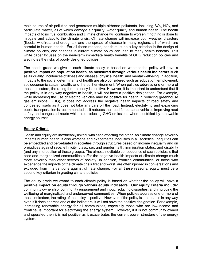main source of air pollution and generates multiple airborne pollutants, including  $SO<sub>2</sub>$ , NO<sub>2</sub>, and particulate matter, all of which damage air quality, water quality and human health. The health impacts of fossil fuel combustion and climate change will continue to worsen if nothing is done to mitigate and adapt to the climate crisis. Climate change will increase both weather disasters (floods, wildfires, and droughts), and the spread of disease in many regions, all of which are harmful to human health. For all these reasons, health must be a key criterion in the design of climate policies, and changes in current climate policy can lead to many health benefits. This white paper focuses on the near-term immediate health benefits of GHG reduction policies and also notes the risks of poorly designed policies.

The health grade we give to each climate policy is based on whether the policy will have a **positive impact on population health, as measured through various health indicators** such as air quality, incidences of illness and disease, physical health, and mental wellbeing. In addition, impacts to the social determinants of health are also considered such as education, employment, socioeconomic status, wealth, and the built environment. When policies address one or more of these indicators, the rating for the policy is positive. However, it is important to understand that if the policy is in any way negative to health, it will not have a positive designation. For example, while increasing the use of electric vehicles may be positive for health in reducing greenhouse gas emissions (GHG), it does not address the negative health impacts of road safety and congested roads as it does not take any cars off the road. Instead, electrifying and expanding public transportation is recommended as it reduces the need for personal vehicles improving road safety and congested roads while also reducing GHG emissions when electrified by renewable energy sources.

## **Equity Criteria**

Health and equity are inextricably linked, with each affecting the other. As climate change severely impacts human health, it also worsens and exacerbates inequities in all societies. Inequities can be embedded and perpetuated in societies through structures based on income inequality and on prejudices against race, ethnicity, class, sex and gender, faith, immigration status, and disability (and any intersection of these groups). The almost inevitable consequence of such policies is that poor and marginalized communities suffer the negative health impacts of climate change much more severely than other sectors of society. In addition, frontline communities, or those who experience the impacts of the climate crisis first and worst, are often ignored in conversations and excluded from interventions against climate change. For all these reasons, equity must be a second key criterion in grading climate policies.

The equity grade we award to each climate policy is based on whether the policy will have a **positive impact on equity through various equity indicators. Our equity criteria include:** community ownership, community engagement and input, reducing disparities, and improving the wellbeing of marginalized and underserved communities. When policies address one or more of these indicators, the rating of the policy is positive. However, if the policy is inequitable in any way even if it does address one of the indicators, it will not have the positive designation. For example, increasing renewable energy for all communities, especially those who are low-income and frontline, is important for electrifying the energy system. However, if it is not community owned and operated then it is not positive as it exacerbates the current power structure of the energy system.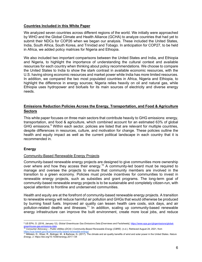#### **Countries Included in this White Paper**

We analyzed seven countries across different regions of the world. We initially were approached by WHO and the Global Climate and Health Alliance (GCHA) to analyze countries that had yet to submit their NDCs for COP26 when we began our analysis. These included the United States, India, South Africa, South Korea, and Trinidad and Tobago. In anticipation for COP27, to be held in Africa, we added policy matrices for Nigeria and Ethiopia.

We also included two important comparisons between the United States and India, and Ethiopia and Nigeria, to highlight the importance of understanding the cultural context and available resources for each country when thinking about policy recommendations. We choose to compare the United States to India to show the stark contrast in available economic resources, with the U.S. having strong economic resources and market power while India has more limited resources. In addition, we compared the two most populated countries in Africa, Nigeria and Ethiopia, to highlight the difference in energy sources; Nigeria relies heavily on oil and natural gas, while Ethiopia uses hydropower and biofuels for its main sources of electricity and diverse energy needs.

## **Emissions Reduction Policies Across the Energy, Transportation, and Food & Agriculture Sectors**

This white paper focuses on three main sectors that contribute heavily to GHG emissions: energy, transportation, and food & agriculture, which combined account for an estimated 63% of global GHG emissions.<sup>9</sup> Within each sector, policies are listed that are relevant for multiple countries, despite differences in resources, culture, and motivation for change. These policies outline the health and equity impact as well as the current political landscape in each country that it is recommended in.

#### **Energy**

#### Community-Based Renewable Energy Projects

Community-based renewable energy projects are designed to give communities more ownership over where and how they access their energy.<sup>10</sup> A community-led board must be required to manage and oversee the projects to ensure that community members are involved in the transition to a green economy. Policies must provide incentives for communities to invest in renewable energy projects, such as subsidies and grant programs. The long-term goal of community-based renewable energy projects is to be sustainable and completely citizen-run, with special attention to frontline and underserved communities.

Health and equity are at the forefront of community-based renewable energy projects. A transition to renewable energy will reduce harmful air pollution and GHGs that would otherwise be produced by burning fossil fuels. Improved air quality can lessen health care costs, sick days, and air pollution-related deaths and illnesses.<sup>11</sup> In addition, scaling up community-based renewable energy infrastructure can improve the built environment, create more local jobs, and reduce

<sup>9</sup> US EPA, O. (2016, January 12). *Global Greenhouse Gas Emissions Data* [Overviews and Factsheets]. https://www.epa.gov/ghgemissions/global-<mark>greenhouse-gas-emissions-data</mark><br><sup>10</sup> Consumer Advocacy – Public Utilities (DCA) | Community-Based Renewable Energy (CBRE). (n.d.). Retrieved August 24, 2021, from

https://cca.hawaii.gov/dca/community-based-renewable-energy/<br><sup>11</sup> Millstein, D., Wiser, R., Bolinger, M., & Barbose, G. (2017). The climate and air-quality benefits of wind and solar power in the United States. *Nature Energy*, *2*. https://doi.org/10.1038/nenergy.2017.134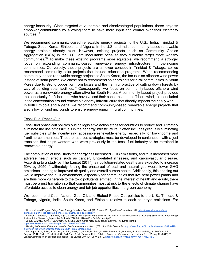energy insecurity. When targeted at vulnerable and disadvantaged populations, these projects empower communities by allowing them to have more input and control over their electricity sources<sup>12</sup>

We recommend community-based renewable energy projects to the U.S., India, Trinidad & Tobago, South Korea, Ethiopia, and Nigeria. In the U.S. and India, community-based renewable energy projects already exist. However, existing projects, such as Community Choice Aggregation (CCA) in the U.S., are inequitable because they currently target more wealthy communities.13 To make these existing programs more equitable, we recommend a stronger focus on expanding community-based renewable energy infrastructure in low-income communities. Conversely, these projects are a newer concept in Trinidad & Tobago, so we recommend community solar projects that include education programs. When recommending community-based renewable energy projects to South Korea, the focus is on offshore wind power instead of solar power. We chose not to recommend solar projects for rural communities in South Korea due to strong opposition from locals and the harmful practice of cutting down forests by way of building solar facilities.<sup>14</sup> Consequently, we focus on community-based offshore wind power as a renewable energy alternative for South Korea. A community-based project provides the opportunity for fishermen, who have voiced their concerns about offshore wind, to be included in the conversation around renewable energy infrastructure that directly impacts their daily work.<sup>15</sup> In both Ethiopia and Nigeria, we recommend community-based renewable energy projects that also allow off-grid microgrids to ensure energy equity in rural communities.

#### Fossil Fuel Phase-Out

Fossil fuel phase-out policies outline legislative action steps for countries to reduce and ultimately eliminate the use of fossil fuels in their energy infrastructure. It often includes gradually eliminating fuel subsidies while incentivizing accessible renewable energy, especially for low-income and frontline communities. These phase-out strategies must be developed in conjunction with a just transition that helps workers who were previously in the fossil fuel industry to be retrained in renewable energy.

The combustion of fossil fuels for energy has increased GHG emissions, and thus increased more adverse health effects such as cancer, lung-related illnesses, and cardiovascular disease. According to a study by The Lancet (2017), air pollution-related deaths are expected to increase 50% by 2050.16 Ultimately forcing the phase-out of coal and natural gas would lower GHG emissions, leading to improved air quality and overall human health. Additionally, this phasing out would improve the built environment, especially for communities that live near power plants and are thus more vulnerable to the toxic pollutants emitted. In the interest of health and equity, there must be a just transition so that communities most at risk to the effects of climate change have affordable access to clean energy and fair job opportunities in a green economy.

We recommend Coal, Natural Gas, Oil, and Biofuel Phase-Out policies to the U.S., Trinidad & Tobago, Nigeria, India, South Korea, and Ethiopia, relative to each country's emissions. For

<sup>&</sup>lt;sup>12</sup> Community-led Program Brings Solar Energy to India's Poorest. (2016, June 17). Aga Khan Foundation USA. https://www.akfusa.org/our-

<sup>&</sup>lt;u>stories/community-led-program-brings-solar-energy-to-indias-poorest/</u><br><sup>13</sup> Bolon, C., Lanckton, T., & Baker, S. (n.d.). *Utilities 101: A guide to the basics of the electric utility industry with a focus on justice. Initi* Justice. https://iejusa.org/wp-content/uploads/2020/08/Utilities-101- Full-Guide-v3.pdf

<sup>14</sup> Ji-hye, S. (2019, July 5). *[Going Renewable (5)] South Korea faces solar power dilemma*. The Korea Herald.

http://www.koreaherald.com/view.php?ud=20190705000587 <sup>15</sup> *Blowing in the wind: Fishermen threaten South Korea carbon plans*. (2021, April 28). France 24. https://www.france24.com/en/live-news/20210428-

<sup>&</sup>lt;u>blowing-in-the-wind-fishermen-threaten-south-korea-carbon-plans</u><br><sup>16</sup> Landrigan, P. J., Fuller, R., Acosta, N. J. R., Adeyi, O., Arnold, R., Basu, N. (Nil), Baldé, A. B., Bertollini, R., Bose-O'Reilly, S., Boufford, J. I. Lancet Commission on pollution and health. *The Lancet*, *391*(10119), 462–512. https://doi.org/10.1016/S0140-6736(17)32345-0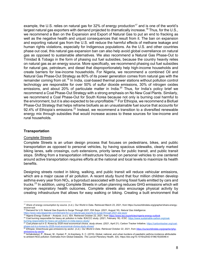example, the U.S. relies on natural gas for 32% of energy production<sup>17</sup> and is one of the world's largest natural gas exporters with demand projected to dramatically increase.<sup>18</sup> Thus, for the U.S., we recommend a Ban on the Expansion and Export of Natural Gas to put an end to fracking as well as the negative health and unjust consequences that result from it. The ban on expansion and exporting natural gas from the U.S. will reduce the harmful effects of methane leakage and human rights violations, especially for Indigenous populations. As the U.S. and other countries phase out coal, this natural gas expansion ban can also help avoid global overreliance on natural gas as opposed to sustainable alternatives. We also recommend a Natural Gas Phase-Out to Trinidad & Tobago in the form of phasing out fuel subsidies, because the country heavily relies on natural gas as an energy source. More specifically, we recommend phasing out fuel subsidies for natural gas, petroleum, and diesel that disproportionately help high-income households and create barriers for low-income households. For Nigeria, we recommend a combined Oil and Natural Gas Phase-Out Strategy as 80% of its power generation comes from natural gas with the remainder coming from oil.<sup>19</sup> In India, coal-based thermal power stations without pollution control technology are responsible for over 50% of sulfur dioxide emissions, 30% of nitrogen oxides emissions, and about 20% of particulate matter in India.<sup>20</sup> Thus, for India's policy brief we recommend a Coal Phase-Out Strategy with a strong emphasis on No New Coal Plants. Similarly, we recommend a Coal Phase-Out for South Korea because not only is burning coal harmful to the environment, but it is also expected to be unprofitable.<sup>21</sup> For Ethiopia, we recommend a Biofuel Phase-Out Strategy that helps reframe biofuels as an unsustainable fuel source that accounts for 92.4% of Ethiopia's emissions.<sup>22</sup> Instead, we recommend a transition to a diversified renewable energy mix through subsidies that would increase access to these sources for low-income and rural households.

#### **Transportation**

#### Complete Streets

Complete Streets is an urban design process that focuses on pedestrians, bikes, and public transportation as opposed to personal vehicles, by having spacious sidewalks, clearly marked biking lanes, safe crossings, curb extensions, priority lanes for public transit, and public transit stops. Shifting from a transportation infrastructure focused on personal vehicles to one centered around active transportation requires efforts at the national and local levels to maximize its health benefits.

Designing streets rooted in biking, walking, and public transit will reduce vehicular emissions, which are a major cause of air pollution. A recent study found that four million children develop asthma every year from  $NO<sub>2</sub>$ , a byproduct associated with burning fossil fuels emitted by cars and trucks.<sup>23</sup> In addition, using Complete Streets in urban planning reduces GHG emissions which will improve respiratory health outcomes. Complete streets also encourage physical activity by creating infrastructure that allows for easy walking or biking. Creating a built environment that

- <sup>18</sup> Demand for U.S. Natural Gas Exports to Surge Through 2021, EIA Says. (2021, August 16). *Natural Gas Intelligence*. https://www.naturalgasintel.com/demand-for-u-s-natural-gas-exports-to-surge-through-2021-eia-says/
- <sup>19</sup> *Nigeria Energy Outlook – Analysis*. (n.d.). IEA. Retrieved October 22, 2021, from https://www.iea.org/articles/nigeria-energy-outlook

<sup>17</sup> *Share of energy consumption by source*. (n.d.). Our World in Data. Retrieved March 23, 2021, from https://ourworldindata.org/grapher/share-energysource-sub

<sup>20</sup> Coal burning responsible for heavy air pollution in India: IEACCC study. (2021, February 18). *ICSC*. https://www.sustainable-carbon.org/coal-<u>burning-responsible-for-heavy-air-pollution-in-india-ieaccc-study/</u><br><sup>21</sup> Coal phase-out in S. Korea by 2028 most economical choice, study shows. (2021, April 21). Carbon Tracker Initiative. <u>https://carbontracker.org/coal</u>

phase-out-in-s-korea-by-2028-most-economical-choice-study-shows/<br><sup>22</sup> Ethiopia: Greenhouse gas emissions by sector. (n.d.). Our World in Data. Retrieved October 22, 2021, from <u>https://ourworldindata.org/grapher/ghg-</u>

<sup>&</sup>lt;u>emissions-by-sector</u><br><sup>23</sup> Achakulwisut, P., Brauer, M., Hystad, P., & Anenberg, S. C. (2019). Global, national, and urban burdens of paediatric asthma incidence attributable

to ambient NO2 pollution: Estimates from Global Datasets. *The Lancet Planetary Health*, *3*(4). https://doi.org/10.1016/s2542-5196(19)30046-4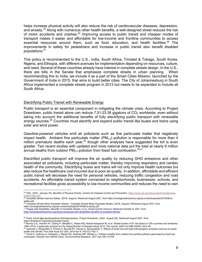helps increase physical activity will also reduce the risk of cardiovascular diseases, depression, and anxiety.<sup>24</sup> Along with numerous other health benefits, a well-designed street reduces the risk of motor accidents and crashes.<sup>25</sup> Improving access to public transit and cheaper modes of transport makes it easier and affordable for low-income and frontline communities to access essential resources around them, such as food, education, and health facilities.<sup>26</sup> The improvements in safety for pedestrians and increase in public transit also benefit disabled populations.27

This policy is recommended to the U.S., India, South Africa, Trinidad & Tobago, South Korea, Nigeria, and Ethiopia, with different avenues for implementation depending on resources, culture, and need. Several of these countries already have interest in complete streets design. In the U.S., there are bills in the Senate that emphasize complete streets in urban planning. When recommending this to India, we include it as a part of the Smart Cities Mission, launched by the Government of India in 2015, that aims to build better cities. The City of Johannesburg in South Africa implemented a complete streets program in 2013 but needs to be expanded to include all South Africa.

#### Electrifying Public Transit with Renewable Energy

Public transport is an essential component in mitigating the climate crisis. According to Project Drawdown, public transit alone can reduce  $7.51-23.36$  gigatons of  $CO<sub>2</sub>$  worldwide, even without taking into account the additional benefits of fully electrifying public transport with renewable energy sources.<sup>28</sup> Countries must electrify and expand public transit like buses and trains using solar and wind power.

Gasoline-powered vehicles emit air pollutants such as fine particulate matter that negatively impact health. Ambient fine particulate matter  $(PM_{2.5})$  pollution is responsible for more than 4 million premature deaths each year,<sup>29</sup> though other analyses have suggested the toll is even greater. Two recent studies with updated and more national data put the total at nearly 9 million annual deaths from outdoor PM<sub>2.5</sub> pollution from fossil fuel combustion.<sup>30,31</sup>

Electrified public transport will improve the air quality by reducing GHG emissions and other associated air pollutants, including particulate matter, thereby improving respiratory and cardiac health of the community. Electrifying buses and trains will not only improve health outcomes but also reduce the healthcare cost incurred due to poor air quality. In addition, affordable and efficient public transit will decrease the need for personal vehicles, reducing traffic congestion and road accidents. An affordable transit system connected to neighborhoods, businesses, schools, and recreational facilities gives accessibility to low-income communities and reduces the need to own

https://smartgrowthamerica.org/resources/people-with-disabilities-benefits-of-complete-streets/

<sup>&</sup>lt;sup>24</sup> CDC. (2021, January 22). *Benefits of Physical Activity*. Centers for Disease Control and Prevention. https://www.cdc.gov/physicalactivity/basics/pahealth/index.htm<br><sup>25</sup> Complete Streets Improve Safety. (2018, August). Retrieved August 2021, from https://smartgrowthamerica.org/wp-content/uploads/2016/08/cs-

safety.pdf.

<sup>26</sup> *Complete Streets Mean Equitable Streets* . Complete Streets Mean Equitable Streets. (2018, August). Retrieved August 2021, from https://smartgrowthamerica.org/wp-content/uploads/2016/08/cs-equity.pdf. 27 *People with Disabilities: Benefits of Complete Streets*. (n.d.). Smart Growth America. Retrieved October 8, 2021, from

<sup>28</sup> *Public transit @projectdrawdown #climatesolutions*. Project Drawdown. (2021, August 26). Retrieved August 2021, from

https://drawdown.org/solutions/public-transit.<br><sup>29</sup> Murray CJL, Aravkin AY, Zheng P, Abbafati C, Abbas KM, Abbasi-Kangevari M, et al. Global burden of 87 risk factors in 204 countries and territories, 1990–2019: a systematic analysis for the Global Burden of Disease Study 2019. The Lancet. 2020 Oct;396(10258):1223–49.

<sup>&</sup>lt;sup>30</sup> Lelieveld J, Klingmüller K, Pozzer A, Burnett RT, Haines A, Ramanathan V. Effects of fossil fuel and total anthropogenic emission removal on public health and climate. Proc Natl Acad Sci USA. 2019 Apr 9;116(15):7192–7.

<sup>31</sup> Vohra K, Vodonos A, Schwartz J, Marais EA, Sulprizio MP, Mickley LJ. Global mortality from outdoor fine particle pollution generated by fossil fuel combustion: Results from GEOS-Chem. Environmental Research. 2021 Apr;195:110754.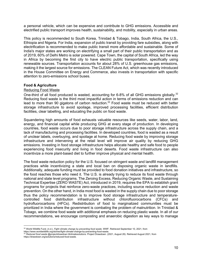a personal vehicle, which can be expensive and contribute to GHG emissions. Accessible and electrified public transport improves health, sustainability, and mobility, especially in urban areas.

This policy is recommended to South Korea, Trinidad & Tobago, India, South Africa, the U.S., Ethiopia and Nigeria. For India, expansion of public transit by providing fare subsidies, along with electrification is recommended to make public transit more affordable and sustainable. Some of India's major states are working on electrifying a small part of their public transportation and as of 2019, 60% of Delhi Metro is solar powered. Cape Town, the capital of South Africa, led the way in Africa by becoming the first city to have electric public transportation, specifically using renewable sources. Transportation accounts for about 28% of U.S. greenhouse gas emissions, making it the largest source for emissions. The CLEAN Future Act, which was recently introduced in the House Committee on Energy and Commerce, also invests in transportation with specific attention to zero-emissions school buses.

#### **Food & Agriculture**

#### Reducing Food Waste

One-third of all food produced is wasted, accounting for 6-8% of all GHG emissions globally.<sup>32</sup> Reducing food waste is the third most impactful action in terms of emissions reduction and can lead to more than 90 gigatons of carbon reduction.<sup>33</sup> Food waste must be reduced with better storage infrastructure to avoid spoilage, improved processing facilities, efficient distribution facilities, clear labelling, and educating the public on food waste.

Squandering high amounts of food exhausts valuable resources like seeds, water, labor, land, energy, and financial capital while producing GHG at every stage of production. In developing countries, food waste occurs due to poor storage infrastructure across the supply chain, and a lack of manufacturing and processing facilities. In developed countries, food is wasted as a result of unclear labels, overbuying, and spoilage at home. Reducing food waste by improving storage infrastructure and intervening at the retail level will improve air quality by reducing GHG emissions. Investing in food storage infrastructure helps allocate healthy and safe food to people experiencing food insecurity and living in food deserts. Food waste infrastructure can also incentivize a more plant-based diet to further improve physical and mental health.

The food waste reduction policy for the U.S. focused on stringent waste and landfill management practices while incentivizing a state and local ban on disposing organic waste in landfills. Additionally, adequate funding must be provided to food donation initiatives and infrastructure, so the food reaches those who need it. The U.S. is already trying to reduce its food waste through national and state level programs. The Zeroing Excess, Reducing Organic Waste, and Sustaining Technical Expertise (ZERO WASTE) Act, introduced in 2019, requires the EPA to establish grant programs for projects that reinforce zero-waste practices, including source reduction and waste prevention. On the other hand, in India most food is wasted in the supply chain due to poor storage thus the policy recommendation is to improve food storage infrastructure and temperaturecontrolled food distribution infrastructure without chlorofluorocarbons (CFCs) and hydrofluorocarbons (HFCs). Redistribution of food to marginalized communities must be prioritized in India where the government is combating the problem of malnutrition. In Trinidad & Tobago, we combine food waste with additional emphasis on reducing plastic waste. In all of our recommendations, we encourage composting and anaerobic digestion as key ways to manage

<sup>32</sup> World Wildlife Fund. (n.d.). *Fight climate change by preventing food waste*. WWF. Retrieved September 10, 2021, from

https://www.worldwildlife.org/stories/fight-climate-change-by-preventing-food-waste.<br>https://www.worldwildlife.org/stories/fight-climate-change-by-preventing-food-waste.<br><sup>33</sup> Reduced food waste @projectdrawdown #climatesol https://drawdown.org/solutions/reduced-food-waste.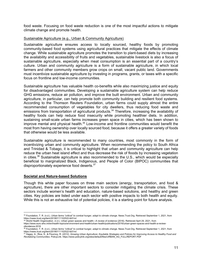food waste. Focusing on food waste reduction is one of the most impactful actions to mitigate climate change and promote health.

#### Sustainable Agriculture (e.g., Urban & Community Agriculture)

Sustainable agriculture ensures access to locally sourced, healthy foods by promoting community-based food systems using agricultural practices that mitigate the effects of climate change. While sustainable agriculture promotes the transition to plant-based diets by increasing the availability and accessibility of fruits and vegetables, sustainable livestock is also a focus of sustainable agriculture, especially when meat consumption is an essential part of a country's culture. Urban and community agriculture is a form of sustainable agriculture, in which local farmers and other community members grow crops on small, vacant public land. Governments must incentivize sustainable agriculture by investing in programs, grants, or taxes with a specific focus on frontline and low-income communities.

Sustainable agriculture has valuable health co-benefits while also maximizing justice and equity for disadvantaged communities. Developing a sustainable agriculture system can help reduce GHG emissions, reduce air pollution, and improve the built environment. Urban and community agriculture, in particular, can help promote both community building and resilient food systems. According to the Thomson Reuters Foundation, urban farms could supply almost the entire recommended consumption of vegetables for city dwellers, thus reducing food waste and emissions from transportation of agricultural products.<sup>34</sup> Therefore, increasing the availability of healthy foods can help reduce food insecurity while promoting healthier diets. In addition, sustaining small-scale urban farms increases green space in cities, which has been shown to improve mental and physical health.<sup>35</sup> Low-income and frontline communities would benefit the most from having ownership over locally sourced food, because it offers a greater variety of foods that otherwise would be less available.

Sustainable agriculture is recommended to many countries, most commonly in the form of incentivizing urban and community agriculture. When recommending the policy to South Africa and Trinidad & Tobago, it is critical to highlight that urban and community agriculture can help reduce the urban heat island effect and thus decrease the risk of floods by increasing vegetation in cities. $36$  Sustainable agriculture is also recommended to the U.S., which would be especially beneficial to marginalized Black, Indigenous, and People of Color (BIPOC) communities that disproportionately experience food deserts.<sup>37</sup>

#### **Societal and Nature-based Solutions**

Though this white paper focuses on three main sectors (energy, transportation, and food & agriculture), there are other important sectors to consider mitigating the climate crisis. These sectors include women's health and education, nature-based solutions, and healthy and green cities. Key policies are listed under each sector with positive impacts to both health and equity. While this is not an exhaustive list of potential policies, it is a starting point for future analysis.

<sup>34</sup> Foundation, T. R. (n.d.). *Urban farms "critical" to combat hunger, adapt to climate change*. News.Trust.Org. Retrieved September 1, 2021, from https://news.trust.org/item/20180111102522-tb51m/

<sup>35</sup> World Health Organization. (n.d.). Urban green spaces and health—A review of evidence (2016). Retrieved April 29, 2021, from https://www.euro.who.int/en/health-topics/environment-and-health/urban-health/publications/2016/urban-green-spaces-and-health-a-review-

ofevidence-2016 <sup>36</sup> Foundation, T. R. (n.d.). *Urban farms "critical" to combat hunger, adapt to climate change*. News.Trust.Org. Retrieved September 1, 2021, from

https://news.trust.org/item/20180111102522-tb51m/<br><sup>37</sup> Hagey, A., Rice, S., & Flournoy, R. (2012). *Growing Urban Agriculture: Equitable Strategies and Policies for Improving Access to Healthy Food and Revitalizing Communities*. PolicyLink. https://www.policylink.org/sites/default/files/URBAN\_AG\_FULLREPORT.PDF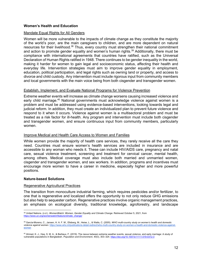#### **Women's Health and Education**

#### Mandate Equal Rights for All Genders

Women will be more vulnerable to the impacts of climate change as they constitute the majority of the world's poor, are the main caregivers to children, and are more dependent on natural resources for their livelihood.<sup>38</sup> Thus, every country must strengthen their national commitment and action to promote gender equality and women's human rights.<sup>39</sup> Additionally, there must be compliance with international agreements that countries have ratified, such as the Universal Declaration of Human Rights ratified in 1948. There continues to be gender inequality in the world, making it harder for women to gain legal and socioeconomic status, affecting their health and everyday life. Intervention strategies must aim to improve gender equality in employment, education, political participation, and legal rights such as owning land or property, and access to divorce and child custody. Any intervention must include rigorous input from community members and local governments with the main voice being from both cisgender and transgender women.

#### Establish, Implement, and Evaluate National Programs for Violence Prevention

Extreme weather events will increase as climate change worsens causing increased violence and early child marriage.<sup>40</sup> National governments must acknowledge violence against women is a problem and must be addressed using evidence-based interventions, looking towards legal and judicial reform. In addition, they must create an individualized plan to prevent future violence and respond to it when it occurs. Violence against women is a multisectoral problem and must be treated as a risk factor for ill-health. Any program and intervention must include both cisgender and transgender women, and ensure continuous input from community members, particularly women.

#### Improve Medical and Health Care Access to Women and Families

While women provide the majority of health care services, they rarely receive all the care they need. Countries must ensure women's health services are included in insurance and are accessible to any woman who needs it. These can include HIV/AIDS care, pregnancy and natal care, sexual violence treatment, screening and treatment for cervical cancer, mental health, among others. Medical coverage must also include both married and unmarried women, cisgender and transgender women, and sex workers. In addition, programs and incentives must encourage more women to have a career in medicine, especially higher and more powerful positions.

#### **Nature-based Solutions**

#### Regenerative Agricultural Practices

The transition from monoculture industrial farming, which requires pesticides and/or fertilizer, to one that is regenerative and localized offers the opportunity to not only reduce GHG emissions but also help to sequester carbon. Regenerative practices involve organic management practices, an emphasis on ecological diversity, traditional knowledge, agroforestry, and landscape

<sup>38</sup> United Nations. (n.d.). *WomenWatch: Women, Gender Equality and Climate Change*. Retrieved October 5, 2021, from https://www.un.org/womenwatch/feature/climate\_change

<sup>39</sup> García-Moreno, C., Jansen, H. A. F. M., Ellsberg, M., Heise, L., & Watts, C. (2005). *WHO multi-country study on women's health and domestic violence against women*. https://www.who.int/publications-detail-redirect/who-multi-country-study-on-women-s-health-and-domestic-violence-againstwomen

<sup>&</sup>lt;sup>40</sup> Ahmed, K. J., Haq, S. M. A., & Bartiaux, F. (2019). The nexus between extreme weather events, sexual violence, and early marriage: A study of vulnerable populations in Bangladesh. *Population and Environment*, *40*(3), 303–324. https://doi.org/10.1007/s11111-019-0312-3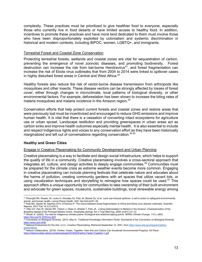complexity. These practices must be prioritized to give healthier food to everyone, especially those who currently live in food deserts or have limited access to healthy food. In addition, incentives to promote these practices and have more land dedicated to them must involve those who have been disproportionately exploited by colonialism and systemic discrimination in historical and modern contexts, including BIPOC, women, LGBTQ+, and immigrants.

#### Terrestrial Forest and Coastal Zone Conservation

Protecting terrestrial forests, wetlands and coastal zones are vital for sequestration of carbon, preventing the emergence of novel zoonotic diseases, and promoting biodiversity. Forest destruction can increase the risk from bat-borne Hendravirus<sup>41</sup>, and forest fragmentation can increase the risk of Ebola virus outbreaks that from 2004 to 2014 were linked to spillover cases in highly disturbed forest areas in Central and West Africa.<sup>42</sup>

Healthy forests also reduce the risk of vector-borne disease transmission from arthropods like mosquitoes and other insects. These disease vectors can be strongly affected by losses of forest cover, either through changes in microclimate, local patterns of biological diversity, or other environmental factors. For example, deforestation has been shown to increase the biting rates of malaria mosquitoes and malaria incidence in the Amazon region.<sup>43</sup>

Conservation efforts that help protect current forests and coastal zones and restore areas that were previously lost must be incentivized and encouraged to reduce GHG emissions and improve human health. It is vital that there is a cessation of converting intact ecosystems for agriculture use or urban sprawl. Landscape restitution and providing greenspaces in urban areas act as carbon sinks and improve health outcomes especially mental health. It is also essential to include and respect Indigenous rights and voices to any conservation effort as they have been historically marginalized and left out of conversations regarding conservation.<sup>44,45</sup>

#### **Healthy and Green Cities**

#### Engage in Creative Placemaking for Community Development and Urban Planning

Creative placemaking is a way to facilitate and design social infrastructure, which helps to support the quality of life in a community. Creative placemaking involves a cross-sectoral approach that integrates art, culture, and design activities to deeply engage communities.<sup>46</sup> Communities must be prepared for the climate crisis as extreme weather events become more common. Engaging in creative placemaking can include planning festivals that celebrate nature and educates about the harms of pollution, creating community gardens with art spaces that utilize vacant lots, or using visualization techniques and storytelling to reimagine how spaces could be used.<sup>47</sup> This approach offers a unique opportunity for communities to take ownership of their built environment and advocate for green spaces, museums, sustainable buildings, local renewable energy among

<sup>41</sup> Plowright RK, Reaser JK, Locke H, Woodley SJ, Patz JA, Becker DJ, et al. Land use-induced spillover: a call to action to safeguard environmental, animal, and human health. Lancet Planet Health. 2021 Apr;5(4):e237–45.<br><sup>42</sup> Rulli MC, Santini M, Hayman DTS, D'Odorico P. The nexus between forest fragmentation in Africa and Ebola virus disease outbreaks. Scientific

Reports. 2017 Feb 14;7(1):41613.<br><sup>43</sup> Vittor AY, Pan W, Gilman RH, Tielsch J, Glass G, Shields T, Patz JA. Linking Deforestation to Malaria in the Amazon: Characterization of the

Breeding Habitat of the Principal Malaria Vector, Anopheles darlingi. Am J Trop Med Hyg. 2009 Jul;81(1):5–12.

<sup>44</sup> Whyte, K. (2020). Too late for indigenous climate justice: Ecological and relational tipping points. *WIREs Climate Change*, *11*(1), e603. https://doi.org/10.1002/wcc.603 <sup>45</sup> Convention on Biological Diversity. (2015, May 5). *Traditional Knowledge Information Portal*. Secretariat of the Convention on Biological Diversity.

https://www.cbd.int/tk/<br><sup>46</sup> National Endowment for the Arts. (n.d.). *Creative Placemaking.* Retrieved September 10, 2021, from <u>https://www.arts.gov/impact/creative-</u>

<sup>&</sup>lt;mark>placemaking</mark><br><sup>47</sup> Helicon Collaborative. (2018). *Farther, Faster, Together: How Arts and Culture Can Accelerate Environmental Progress. Art Place.* 

https://heliconcollab.net/wp-content/uploads/2018/04/Farther-Faster-Together-1.pdf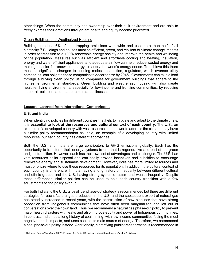other things. When the community has ownership over their built environment and are able to freely express their emotions through art, health and equity become prioritized.

#### Green Buildings and Weatherized Housing

Buildings produce 6% of heat-trapping emissions worldwide and use more than half of all electricity.<sup>48</sup> Buildings and houses must be efficient, green, and resilient to climate change impacts in order to transition to a 100% renewable energy society and improve the health and wellbeing of the population. Measures such as efficient and affordable cooling and heating, insulation, energy and water efficient appliances, and adequate air flow can help reduce wasted energy and making it easier for renewable energy to supply the world's energy needs. To achieve this there must be significant changes to building codes. In addition, regulators, which oversee utility companies, can obligate those companies to decarbonize by 2045. Governments can take a lead through a buying clean policy: using companies for government buildings that adhere to the highest environmental standards. Green building and weatherized housing will also create healthier living environments, especially for low-income and frontline communities, by reducing indoor air pollution, and heat or cold related illnesses.

#### **Lessons Learned from International Comparisons**

#### **U.S. and India**

When identifying policies for different countries that help to mitigate and adapt to the climate crisis, it is **essential to look at the resources and cultural context of each country.** The U.S., an example of a developed country with vast resources and power to address the climate, may have a similar policy recommendation as India, an example of a developing country with limited resources, but each country has different approaches.

Both the U.S. and India are large contributors to GHG emissions globally. Each has the opportunity to transform their energy systems to one that is regenerative and part of the green and just transition. However, each has their own set of advantages and challenges. The U.S. has vast resources at its disposal and can easily provide incentives and subsidies to encourage renewable energy and sustainable development. However, India has more limited resources and must prioritize where to use these resources for its population. In addition, the cultural context of each country is different, with India having a long history of inequality between different cultural and ethnic groups and the U.S. having strong systemic racism and wealth inequality. Despite these differences, similar policies can be used to help each country transition with a few adjustments to the policy avenue.

For both India and the U.S., a fossil fuel phase-out strategy is recommended but there are different strategies for each. Natural gas production in the U.S. and the subsequent export of natural gas has steadily increased in recent years, with the construction of new pipelines that have strong opposition from Indigenous communities that have often been marginalized and left out of conversations over their own land. Thus, we recommend a natural gas phase-out policy to prevent major health disasters with leaks and also improve equity and power of Indigenous communities. In contrast, India has a long history of coal mining, with low-income communities facing the most negative health impacts, and uses coal as its main source of energy. Therefore, we recommend a coal phase-out policy instead. Additionally, electrifying public transportation is recommended in

<sup>48</sup> *Buildings: ProjectDrawdown*. (2020, February 5). Project Drawdown. https://drawdown.org/sectors/buildings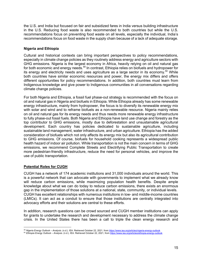the U.S. and India but focused on fair and subsidized fares in India versus building infrastructure in the U.S. Reducing food waste is also recommended to both countries but while the U.S. recommendations focus on preventing food waste on all levels, especially the individual, India's recommendations focus on food waste in the supply chain because of a lack of adequate storage.

## **Nigeria and Ethiopia**

Cultural and historical contexts can bring important perspectives to policy recommendations, especially in climate change policies as they routinely address energy and agriculture sectors with GHG emissions. Nigeria is the largest economy in Africa, heavily relying on oil and natural gas for both economic and energy needs.<sup>49</sup> In contrast, Ethiopia relies on biofuels and hydropower for its energy and electricity needs and uses agriculture as a large sector in its economy.<sup>50</sup> While both countries have similar economic resources and power, the energy mix differs and offers different opportunities for policy recommendations. In addition, both countries must learn from Indigenous knowledge and give power to Indigenous communities in all conversations regarding climate change policies.

For both Nigeria and Ethiopia, a fossil fuel phase-out strategy is recommended with the focus on oil and natural gas in Nigeria and biofuels in Ethiopia. While Ethiopia already has some renewable energy infrastructure, mainly from hydropower, the focus is to diversify its renewable energy mix with solar and wind and to reframe biofuels as a non-renewable resource. Nigeria mainly relies on oil and natural gas for its energy needs and thus needs more renewable energy infrastructure to fully phase-out fossil fuels. Both Nigeria and Ethiopia have land use change and forestry as the top contributor to GHG emissions, mostly due to deforestation and unsustainable agricultural development. Each country has policies dedicated to sustainable agriculture, including sustainable land management, water infrastructure, and urban agriculture. Ethiopia has the added consideration of biofuels which not only affects its energy mix but also its agricultural contribution to GHG emissions. Of course, biofuels for household cooking represents a widespread public health hazard of indoor air pollution. While transportation is not the main concern in terms of GHG emissions, we recommend Complete Streets and Electrifying Public Transportation to create more pedestrian-friendly infrastructure, reduce the need for personal vehicles, and improve the use of public transportation.

## **Potential Roles for CUGH**

CUGH has a network of 174 academic institutions and 31,000 individuals around the world. This is a powerful network that can advocate with governments to implement what we already know will reduce carbon emissions, while maximizing population health benefits. Despite ample knowledge about what we can do today to reduce carbon emissions, there exists an enormous gap in the implementation of those solutions at a national, state, community, or individual levels. CUGH has excellent relationships with numerous institutions in low- and middle-income countries (LMICs). It can act as a conduit to ensure that those institutions are centrally integrated into advocacy efforts and their solutions are central to these efforts.

In addition, research questions can be crowd sourced and CUGH member institutions can apply for grants to undertake the research and development necessary to address the climate change crisis. In the United States there has been a call to triple the clean energy research and

<sup>49</sup> *Nigeria Energy Outlook – Analysis*. (n.d.). IEA. Retrieved October 22, 2021, from https://www.iea.org/articles/nigeria-energy-outlook

<sup>50</sup> *Ethiopia Energy Outlook – Analysis*. (n.d.). IEA. Retrieved October 22, 2021, from https://www.iea.org/articles/ethiopia-energy-outlook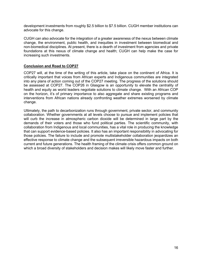development investments from roughly \$2.5 billion to \$7.5 billion. CUGH member institutions can advocate for this change.

CUGH can also advocate for the integration of a greater awareness of the nexus between climate change, the environment, public health, and inequities in investment between biomedical and non-biomedical disciplines. At present, there is a dearth of investment from agencies and private foundations at this nexus of climate change and health; CUGH can help make the case for increasing such investments.

#### **Conclusion and Road to COP27**

COP27 will, at the time of the writing of this article, take place on the continent of Africa. It is critically important that voices from African experts and Indigenous communities are integrated into any plans of action coming out of the COP27 meeting. The progress of the solutions should be assessed at COP27. The COP26 in Glasgow is an opportunity to elevate the centrality of health and equity as world leaders negotiate solutions to climate change. With an African COP on the horizon, it's of primary importance to also aggregate and share existing programs and interventions from African nations already confronting weather extremes worsened by climate change.

Ultimately, the path to decarbonization runs through government, private sector, and community collaboration. Whether governments at all levels choose to pursue and implement policies that will curb the increase in atmospheric carbon dioxide will be determined in large part by the demands of their voters and those who fund political parties. The scientific community, with collaboration from Indigenous and local communities, has a vital role in producing the knowledge that can support evidence-based policies. It also has an important responsibility in advocating for those policies. The failure to include and promote multistakeholder collaboration jeopardizes an effective response to climate change and the subsequent irreversible hazardous impacts on both current and future generations. The health framing of the climate crisis offers common ground on which a broad diversity of stakeholders and decision makes will likely move faster and further.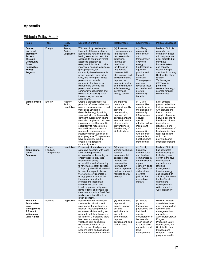# **Appendix**

# Ethiopia Policy Matrix

| Name                                                                                                                                                                      | Tags                                  | Policy<br>Type                   | <b>Description of Policy</b>                                                                                                                                                                                                                                                                                                                                                                                                                                                                                                                                                                                                    | <b>Health Impact</b>                                                                                                                                                                                                                                                                                                            | <b>Equity Impact</b>                                                                                                                                                                                                                                                             | <b>Political Landscape</b>                                                                                                                                                                                                                                                                                                     |
|---------------------------------------------------------------------------------------------------------------------------------------------------------------------------|---------------------------------------|----------------------------------|---------------------------------------------------------------------------------------------------------------------------------------------------------------------------------------------------------------------------------------------------------------------------------------------------------------------------------------------------------------------------------------------------------------------------------------------------------------------------------------------------------------------------------------------------------------------------------------------------------------------------------|---------------------------------------------------------------------------------------------------------------------------------------------------------------------------------------------------------------------------------------------------------------------------------------------------------------------------------|----------------------------------------------------------------------------------------------------------------------------------------------------------------------------------------------------------------------------------------------------------------------------------|--------------------------------------------------------------------------------------------------------------------------------------------------------------------------------------------------------------------------------------------------------------------------------------------------------------------------------|
| <b>Ensure</b><br><b>Universal</b><br><b>Electricity</b><br><b>Access</b><br><b>Through</b><br>Community-<br><b>Based</b><br>Renewable<br><b>Energy</b><br><b>Projects</b> | Energy                                | Agency<br>Action,<br>Legislation | With electricity reaching less<br>than half of the population in<br>Ethiopia and rural communities<br>having even less access, it is<br>essential to ensure universal<br>access to electricity to<br>everyone. It is vital to provide<br>incentives, such as subsides or<br>grant programs, for<br>community-based renewable<br>energy projects using solar,<br>wind, and microgrids. These<br>projects must include<br>community-led boards to<br>manage and oversee the<br>projects and ensure<br>community engagement and<br>ownership, especially rural,<br>low-income, and women<br>populations.                           | $(+)$ : Increase<br>renewable energy<br>infrastructure,<br>decrease carbon<br>emissions,<br>improve air<br>quality and<br>incidences of<br>lung-related<br>illnesses. Will<br>also improve built<br>environment and<br>improve the<br>economic health<br>of the community.<br>Alleviate energy<br>poverty and<br>energy burden. | $(+)$ : Giving<br>communities<br>more control<br>and<br>transparency<br>over their<br>energy is<br>fundamental to<br>equitable<br>practice and<br>the just<br>transition.<br>These projects<br>can also<br>revitalize local<br>economies and<br>provide<br>community<br>benefits | Medium: Ethiopia<br>currently has<br>community-based<br>micro-hydropower<br>plant projects, but<br>they have<br>implementation<br>and capacity<br>issues. Ethiopia<br>also has Promoting<br>Sustainable Rural<br>Energy<br>Technologies<br>(RETs) which<br>promotes<br>renewable energy<br>sources for rural<br>communities.   |
| <b>Biofuel Phase-</b><br>Out                                                                                                                                              | Energy                                | Agency<br>Action,<br>Legislation | Create a biofuel phase-out<br>plan that reframes biofuels as<br>a non-renewable resource and<br>transitions Ethiopia to<br>diversified energy by adding<br>solar and wind to the already<br>dominant hydropower. There<br>must also be plans to help low-<br>income and rural households<br>specifically to reduce biofuel<br>use and increase access to<br>renewable energy sources,<br>possibly through subsidies or<br>grant programs. This plan must<br>have community input to<br>ensure it is addressing<br>community needs.                                                                                              | (+) Improved<br>outdoor and<br>indoor air quality,<br>prevent<br>deforestation,<br>improve built<br>environment and<br>economic health<br>of community,<br>prevent illness<br>from burning of<br>biofuel indoors                                                                                                                | (+) Gives<br>communities<br>more input in<br>the planning of<br>community<br>infrastructure,<br>ensures<br>specific<br>attention to low-<br>income and<br>rural<br>communities<br>who are most<br>vulnerable to<br>health impacts<br>from biofuels.                              | Low: Ethiopia<br>plans to substitute<br>their petroleum use<br>with biofuels and<br>has no current<br>plans to phase-out<br>biofuels despite its<br>health and climate<br>implications.<br>However, there<br>has been issues of<br>land grabbing from<br>local populations<br>which has<br>provoked some<br>strong resentment. |
| Just<br><b>Transition to</b><br>Green<br>Economy                                                                                                                          | Energy,<br>Food/Ag,<br>Transportation | Legislation                      | Ensure a just transition from an<br>extractive economy with fossil<br>fuels to a regenerative<br>economy by implementing an<br>energy justice policy that<br>ensures availability,<br>accessibility, and affordability<br>to renewable energy services.<br>This policy should include rural<br>households in particular as<br>they are more vulnerable to<br>energy poverty. In addition,<br>there must be a plan to<br>promote and incentivize<br>women's education and<br>freedom, protect Indigenous<br>rights to land, and ensure job<br>creation for previous fossil fuel<br>workers who transition to a<br>green economy. | (+) Improves<br>worker well-being,<br>reduces<br>environmental<br>exposures for<br>workers and<br>communities,<br>improves air<br>quality, improves<br>built environment,<br>reduces energy<br>poverty                                                                                                                          | (+) Directly<br>helps low-<br>income, rural<br>and frontline<br>communities in<br>the transition to<br>a green<br>economy, gives<br>input from local<br>stakeholders,<br>prevents<br>policies that<br>exacerbate<br>inequity                                                     | Medium: Ethiopia<br>has conducted<br>studies looking at<br>inclusive green<br>growth in the four<br>key sectors of<br>agriculture and<br>land use<br>management,<br>forestry, energy,<br>and transport. In<br>addition, the theme<br>for the Climate<br>change and<br>Development in<br>Africa summit is<br>"Just Transition"  |
| <b>Establish</b><br><b>Sustainable</b><br>Land<br>Management<br>& Protect<br>Indigenous<br><b>Land Rights</b>                                                             | Food/Ag                               | Legislation                      | Establish community-based<br>sustainable utilization and<br>management of wetlands. In<br>addition, restrict agricultural<br>expansion while ensuring an<br>adequate safety net program<br>for farmers. Considering there<br>has been human rights<br>violations from agricultural<br>expansion, there must be<br>enforcement of Indigenous<br>people's rights and assurance<br>no future development on their                                                                                                                                                                                                                  | (+) Reduce GHG,<br>improve air<br>quality, improve<br>soil and<br>agricultural land,<br>prevent<br>deforestation,<br>improve<br>environment, and<br>carbon sinks                                                                                                                                                                | $(+)$ Ensure<br>rights to<br>Indigenous<br>populations and<br>their land,<br>special<br>consideration to<br>farmers who<br>are in transition<br>to sustainable<br>agriculture and<br>land<br>management                                                                          | Medium: Ethiopia<br>already has three<br>main programs that<br>focus on land<br>management and<br>agriculture:<br><b>Agricultural Growth</b><br>Program.<br><b>Productive Safety</b><br>Net Program, and<br>Sustainable Land<br>Management<br>Program. These<br>programs need to                                               |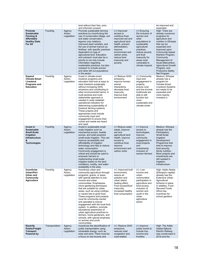|                                                                                                                                 |                |                                  | land without their free, prior,<br>and informed consent.                                                                                                                                                                                                                                                                                                                                                                                                                                                                                                                                                                         |                                                                                                                                                                                                                         |                                                                                                                                                                                                                         | be improved and<br>expanded.                                                                                                                                                                                                                                                                                                            |
|---------------------------------------------------------------------------------------------------------------------------------|----------------|----------------------------------|----------------------------------------------------------------------------------------------------------------------------------------------------------------------------------------------------------------------------------------------------------------------------------------------------------------------------------------------------------------------------------------------------------------------------------------------------------------------------------------------------------------------------------------------------------------------------------------------------------------------------------|-------------------------------------------------------------------------------------------------------------------------------------------------------------------------------------------------------------------------|-------------------------------------------------------------------------------------------------------------------------------------------------------------------------------------------------------------------------|-----------------------------------------------------------------------------------------------------------------------------------------------------------------------------------------------------------------------------------------------------------------------------------------------------------------------------------------|
| <b>Promote</b><br><b>Sustainable</b><br>Farming &<br><b>Affordable</b><br><b>Healthy Diets</b><br>For All                       | Food/Ag        | Agency<br>Action,<br>Legislation | Promote sustainable farming<br>practices by incentivizing the<br>use of conservation tillage, soil<br>and water conservation,<br>lequme crop rotations,<br>improved seed varieties, and<br>the use of animal manure as<br>fertilizer, with specific practices<br>dependent on type of<br>agricultural land. Education<br>and outreach must also be a<br>priority to not only include<br>information regarding<br>sustainable practices, but also<br>outreach to include women<br>and other left out populations<br>in the sector.                                                                                                | (+) Improved<br>access to<br>nutritious food,<br>improved soil and<br>agricultural land<br>health, prevent<br>deforestation,<br>improve<br>environment and<br>carbon sinks,<br>reduce food<br>insecurity and<br>poverty | (+) Ensuring<br>the inclusion of<br>women and<br>other<br>populations to<br>sustainable<br>agricultural<br>practices,<br>reduce poverty<br>and food<br>insecurity for<br>areas most<br>vulnerable to<br>climate impacts | High: There are<br>already numerous<br>programs for<br>agriculture and<br>nutrition in Ethiopia<br>that can be<br>expanded and<br>improved upon:<br>Community-based<br>Nutrition Program,<br>Community<br>Management of<br>Acute Malnutrition,<br><b>Agricultural Growth</b><br>Program, and<br><b>Productive Safety</b><br>Net Program |
| Expand<br><b>Climate-Smart</b><br>Livestock<br>Programs and<br><b>Education</b>                                                 | Food/Ag        | Agency<br>Action,<br>Legislation | Invest in climate-smart<br>livestock programs and<br>education that look at ways to<br>raise livestock sustainably<br>without increasing GHG<br>emissions and contributing to<br>other environmental harms. A<br>multi-sectoral and multi-<br>stakeholder approach is<br>needed in order establish<br>operational indicators for<br>determining sustainability of<br>livestock farming systems.<br>These projects and<br>approaches must include<br>community input and<br>engagement to ensure their<br>voices and needs are heard<br>and used.                                                                                 | (+) Reduce GHG<br>emissions,<br>improve human-<br>animal<br>interactions,<br>decrease food<br>insecurity,<br>improve built<br>environment                                                                               | (+) Community<br>input and<br>engagement in<br>projects,<br>ensure rural<br>and low-income<br>livelihoods are<br>able to still<br>function but<br>more<br>sustainably and<br>climate-smart                              | Medium: Ethiopia<br>already has a<br>program for<br>Climate-Smart<br>Livestock Systems<br>but needs to be<br>expanded and<br>more heavily<br>invested in.                                                                                                                                                                               |
| Invest in<br><b>Sustainable</b><br><b>Small-Scale</b><br><b>Irrigation</b><br><b>Infrastructure</b><br>&<br><b>Technologies</b> | Food/Ag        | Agency<br>Action,<br>Legislation | Invest in sustainable small-<br>scale irrigation such as<br>mechanical pumps, treadle<br>pumps, and solar-powered<br>small-scale irrigation. This can<br>improve accessibility and<br>affordability of irrigation<br>technology and help to reduce<br>water consumption.<br>Community engagement is<br>critical and should be used to<br>empower farmers in<br>implementing small-scale<br>irrigation based on the land<br>conditions, rurality, and water<br>availability in the area.                                                                                                                                          | (+) Reduce water<br>waste, improve<br>soil and<br>agricultural land<br>health, improve<br>access to<br>nutritious food,<br>improve<br>environment and<br>carbon sinks                                                   | (+) Improve<br>access to<br>technologies,<br>improve<br>community<br>engagement in<br>local projects<br>and<br>investments,<br>inclusion of<br>women farmers                                                            | Medium: Ethiopia<br>already has the<br>Participatory<br>Small-Scale<br>Irrigation<br>Development<br>Programme that<br>tries to improve<br>food security,<br>family nutrition.<br>More projects and<br>investments are<br>still needed in<br>irrigation<br>infrastructure.                                                               |
| Incentivize<br>Urban/Peri-<br>Urban and<br>Community<br><b>Agriculture</b>                                                      | Food/Ag        | Agency<br>Action,<br>Legislation | Incentivize urban and<br>community agriculture through<br>programs, grants, or taxes,<br>with special attention to low-<br>income and urban<br>communities. Emphasizes<br>micro-gardening techniques<br>that are suitable for urban<br>areas, such as using rooftops<br>or vacant lots to grow food.<br>These programs and projects<br>must be community-owned<br>and operated to ensure<br>engagement with the local food<br>system. In addition, promote<br>educational awareness of<br>urban agriculture practices to<br>farmers, home gardeners, and<br>schools, with special emphasis<br>on women and youth<br>communities. | (+): Improved built<br>environment,<br>reduce air<br>pollution and<br>urban island<br>heating effect,<br>Food access/food<br>insecurity,<br>increased healthy<br>food consumption                                       | $(+)$ : Low-<br>income and<br>urban<br>communities'<br>participation in<br>agriculture and<br>food access,<br>inclusion of<br>women and<br>youth in the<br>urban<br>agriculture<br>sector                               | High: Addis Ababa<br>(Ethiopia's capital)<br>already has the<br><b>Extensive Urban</b><br>Agricultural<br>Scheme in place.<br>In addition, Food<br>Secured Foods<br>Africa has<br>incentives for<br>school gardens.                                                                                                                     |
| <b>Electrify</b><br><b>Public/Freight</b><br>Transport<br>Powered by                                                            | Transportation | Agency<br>Action,<br>Legislation | Incentivize the electrification of<br>public transportation using<br>renewable energy, such as<br>solar and wind. There must be<br>a focus on low-income and                                                                                                                                                                                                                                                                                                                                                                                                                                                                     | (+): Reduce GHG<br>emissions,<br>reduces road<br>congestion and<br>road-related                                                                                                                                         | (+) Improve<br>public transit to<br>include low-<br>income and<br>frontline                                                                                                                                             | High: The Addis<br>Adaba-Djibouti<br><b>Electric Railway</b><br>was constructed in<br>2016 and the                                                                                                                                                                                                                                      |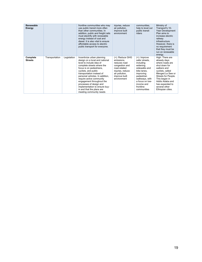| Renewable<br>Energy        |                |             | frontline communities who may<br>use public transit more often<br>than other communities. In<br>addition, public and freight rails<br>must electrify with renewable<br>energy instead of coal and<br>diesel. It is also vital to ensure<br>affordable access to electric<br>public transport for everyone.                                                                                                              | injuries, reduce<br>air pollution,<br>improve built<br>environment                                                                                    | communities.<br>help to level out<br>public transit<br>riders                                                                                                                                        | Ministry of<br>Transport's 10-<br>Year Development<br>Plan aims to<br>increase electric<br>railway<br>infrastructure.<br>However, there is<br>no requirement<br>that they must be<br>run on renewable<br>energy.                               |
|----------------------------|----------------|-------------|-------------------------------------------------------------------------------------------------------------------------------------------------------------------------------------------------------------------------------------------------------------------------------------------------------------------------------------------------------------------------------------------------------------------------|-------------------------------------------------------------------------------------------------------------------------------------------------------|------------------------------------------------------------------------------------------------------------------------------------------------------------------------------------------------------|------------------------------------------------------------------------------------------------------------------------------------------------------------------------------------------------------------------------------------------------|
| Complete<br><b>Streets</b> | Transportation | Legislation | Incentivize urban planning<br>design on a local and national<br>level to include idea of<br>complete streets where the<br>focus is on pedestrians.<br>cyclists, and public<br>transportation instead of<br>personal vehicles. In addition,<br>require active community<br>engagement throughout the<br>processes of design and<br>implementation to ensure buy-<br>in and that the plans are<br>meeting community needs | (+): Reduce GHG<br>emissions,<br>reduces road<br>congestion and<br>road-related<br>injuries, reduce<br>air pollution,<br>improve built<br>environment | $(+)$ : Improve<br>safer streets.<br>including<br>widening<br>sidewalks and<br>bike lanes.<br>improving<br>pedestrian<br>walkways, with<br>a focus on low-<br>income and<br>frontline<br>communities | High: There are<br>already days<br>where roads are<br>shut down for<br>walkers and<br>cyclists, called<br>Menged Le Sew or<br>Streets for People.<br>This began in<br>Addis Adaba and<br>has expanded to<br>several other<br>Ethiopian cities. |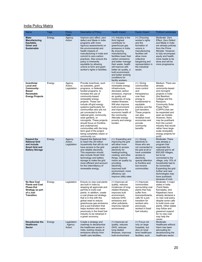# **India Policy Matrix**

| <b>Name</b>                                                                                                     | Tags   | <b>Policy</b><br><b>Type</b>      | <b>Description of Policy</b>                                                                                                                                                                                                                                                                                                                                                                                                                                                                                                                | <b>Health Impact</b>                                                                                                                                                                                                                                                                                                                                           | <b>Equity Impact</b>                                                                                                                                                                                                                                                          | <b>Political Landscape</b>                                                                                                                                                                                                                                                                                                                                                                         |
|-----------------------------------------------------------------------------------------------------------------|--------|-----------------------------------|---------------------------------------------------------------------------------------------------------------------------------------------------------------------------------------------------------------------------------------------------------------------------------------------------------------------------------------------------------------------------------------------------------------------------------------------------------------------------------------------------------------------------------------------|----------------------------------------------------------------------------------------------------------------------------------------------------------------------------------------------------------------------------------------------------------------------------------------------------------------------------------------------------------------|-------------------------------------------------------------------------------------------------------------------------------------------------------------------------------------------------------------------------------------------------------------------------------|----------------------------------------------------------------------------------------------------------------------------------------------------------------------------------------------------------------------------------------------------------------------------------------------------------------------------------------------------------------------------------------------------|
| <b>Make</b><br><b>Manufacturing</b><br>Equitable,<br>Green and<br><b>Sustainable</b>                            | Energy | Agency<br>Action                  | Improve zero effect, zero<br>defect and Made in India<br>programs with more<br>rigorous assessments on<br>the environmental and<br>health impacts of<br>manufacturing in India and<br>commit to zero-carbon<br>practices. Also ensure the<br>policy is inherently<br>equitable by allowing<br>unions to form and grant<br>worker's rights in facilities.                                                                                                                                                                                    | $(+)$ : Industry is the<br>third highest<br>contributor to<br>greenhouse gas<br>emissions in India.<br>By ensuring<br>manufacturing<br>facilities lower their<br>carbon emissions<br>and better manage<br>their waste, health<br>will improve with<br>better air quality, a<br>built environment,<br>and better working<br>conditions for<br>facility workers. | $(+)$ : Ensuring<br>worker's rights<br>and the<br>formation of<br>unions in<br>manufacturing<br>facilities will<br>allow more<br>collective<br>bargaining and<br>representation in<br>the industrial<br>sector.                                                               | Moderate: Zero<br>Effect, Zero Defect<br>and Made in India<br>are already policies<br>from the Prime<br>Minister. However,<br>to fully encompass<br>equity and health,<br>more needs to be<br>done and will be<br>more progressive.                                                                                                                                                                |
| Incentivize<br>Local and<br>Community-<br><b>Based</b><br>Renewable<br><b>Energy Projects</b>                   | Energy | Agency<br>Action,<br>Legislation  | Provide incentives, such<br>as subsidies, grant<br>programs, or federally<br>funded programs, to<br>increase the use of<br>community-based<br>renewable energy<br>projects. These can<br>include off-grid energy<br>systems (particularly for<br>communities who are not<br>yet connected to the<br>national grid), community<br>solar gardens, or<br>microgrids. These projects<br>should focus on frontline<br>and underserved<br>communities with the long-<br>term goal of the project<br>being completely citizen or<br>community run. | $(+)$ : Increase<br>renewable energy<br>infrastructure,<br>decrease carbon<br>emissions, improve<br>air quality and<br>incidences of lung-<br>related illnesses.<br>Will also improve<br>built environment<br>and improve the<br>economic health of<br>the community.<br>Alleviate energy<br>poverty and energy<br>burden.                                     | $(+)$ : Giving<br>communities<br>more control<br>and<br>transparency<br>over their<br>energy is<br>fundamental to<br>equitable<br>practice and the<br>just transition.<br>These projects<br>can also<br>revitalize local<br>economies and<br>provide<br>community<br>benefits | Medium: There are<br>already<br>community-based<br>and microgrid<br>projects in India<br>(the Barefoot<br>College and the<br>Rampura<br><b>Community Solar</b><br>Power Plant<br>(CSPP)) that can<br>be expanded and<br>seen as models.<br>However, there<br>may be pushback<br>from the current<br>industry that would<br>rather have large-<br>scale renewable<br>energy projects for<br>profit. |
| <b>Expand the</b><br><b>National Grid</b><br>and include<br><b>Smart Grid and</b><br><b>Battery Storage</b>     | Energy | Agency<br>Action,<br>Legislation  | <b>Expand the National Grid</b><br>to reach the 29 million<br>households that still do not<br>have access to the grid<br>and reliable electricity.<br>This expansion should<br>also include Smart Grid<br>technology and battery<br>storage to make the grid<br>more efficient and account<br>for the intermittency of<br>renewable energy.                                                                                                                                                                                                 | $(+)$ : Expanding and<br>improving the grid<br>will allow more<br>people to access<br>electricity for<br>heating/cooling,<br>cooking, and other<br>things, improve<br>indoor air quality by<br>providing<br>electricity,<br>improved built<br>environment, more<br>efficiency can<br>improve utility rates                                                     | $(+)$ : Giving<br>electricity to<br>those who are<br>not connected to<br>the grid at all or<br>have unreliable<br>access to<br>electricity,<br>special attention<br>to frontline and<br>low-income<br>communities.                                                            | Moderate: There<br>was already a<br>program that<br>expanded the<br>national grid to all<br>600,000 villages,<br>but to be<br>connected to the<br>village, only 10% of<br>households had to<br>be connected.<br>Expanding the grid<br>further and new<br>technologies may<br>have pushback<br>because of cost.                                                                                     |
| No New Coal<br><b>Plants and Coal</b><br><b>Phase-Out</b><br>Strategy as part<br>of a Just<br><b>Transition</b> | Energy | Legislation                       | Ensure no new coal plants<br>are built in India by<br>stopping all approvals and<br>permits to build coal<br>plants. In addition, create<br>a coal phase-out strategy<br>that is in line with the<br>global need to reduce<br>greenhouse gas emissions<br>and a just transition that<br>helps workers who were<br>previously in the fossil fuel<br>industry to be retrained in<br>a green economy.                                                                                                                                          | (+) Improves air<br>quality, reduces<br>incidences of lung-<br>related illnesses,<br>improves built<br>environment,<br>reduces GHG<br>emissions and<br>other pollutants,<br>improves natural<br>environment                                                                                                                                                    | (+) Improves<br>communities<br>surrounding coal<br>plants that may<br>suffer from<br>toxins/pollutants,<br>calls for a just<br>transition for<br>workers who<br>previously<br>worked in fossil<br>fuel industry                                                               | Moderate: 3 major<br>states in India<br>(Tamil Nadu,<br>Karnataka, and<br>Rajasthan) have<br>already declared a<br>no new coal policy<br>despite some calls<br>to build more coal<br>plants. Other states<br>may follow and<br>grassroot support<br>for no new coal<br>may help the<br>cause.                                                                                                      |
| <b>Decarbonize the</b><br><b>Healthcare</b><br><b>Sector</b>                                                    | Energy | Legislation<br>, Agency<br>Action | Create a strategy and<br>roadmap to decarbonize<br>the healthcare sector in<br>India, looking closely at<br>emissions directly from<br>health care facilities,                                                                                                                                                                                                                                                                                                                                                                              | (+) Improves air<br>quality, reduces<br>GHG, reduces<br>lung-related<br>illnesses, improves<br>built environment                                                                                                                                                                                                                                               | $(+)$ Focus not<br>only on large<br>hospitals, but<br>also on local<br>level healthcare<br>facilities, such                                                                                                                                                                   | Moderate:<br>Healthcare without<br>Harm has been<br>advocating for<br>decarbonizing the<br>healthcare sector                                                                                                                                                                                                                                                                                       |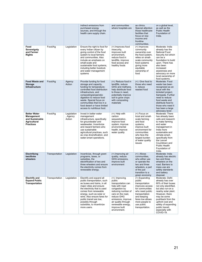|                                                                                                 |                |                                   | indirect emissions from<br>purchased energy<br>sources, and through the<br>health care supply chain.                                                                                                                                                                                                                            | and communities<br>where hospitals are                                                                                                                                                                                                           | as clinics.<br>Special attention<br>those healthcare<br>facilities that<br>focus on low-<br>income and<br>frontline<br>communities.                                                                        | on a global level,<br>as well as the<br><b>Public Health</b><br>Foundation of<br>India.                                                                                                                                                                                            |
|-------------------------------------------------------------------------------------------------|----------------|-----------------------------------|---------------------------------------------------------------------------------------------------------------------------------------------------------------------------------------------------------------------------------------------------------------------------------------------------------------------------------|--------------------------------------------------------------------------------------------------------------------------------------------------------------------------------------------------------------------------------------------------|------------------------------------------------------------------------------------------------------------------------------------------------------------------------------------------------------------|------------------------------------------------------------------------------------------------------------------------------------------------------------------------------------------------------------------------------------------------------------------------------------|
| Food<br>Sovereignty<br>and Farmer<br><b>Rights</b>                                              | Food/Ag        | Legislation                       | Ensure the right to food for<br>every Indian citizen by<br>giving control of the food<br>system to local farmers<br>and communities. Also<br>include an emphasis on<br>small-scale and<br>sustainable food systems,<br>including better livestock<br>and water management<br>systems                                            | (+) Improves food<br>insecurity,<br>improves built<br>environment,<br>reduce food in<br>landfills, improve<br>food access and<br>healthy foods                                                                                                   | (+) Improves<br>community<br>ownership over<br>the food system,<br>relies on small-<br>scale community<br>food systems<br>giving more<br>equitable<br>ownership of<br>food                                 | Moderate: India<br>already has the<br>National Food<br>Security Act which<br>can be a<br>foundation to build<br>upon. There has<br>also been<br>increased<br>awareness and<br>advocacy on more<br>local ownership of<br>food systems.                                              |
| <b>Food Waste and</b><br><b>Storage</b><br>Infrastructure                                       | Food/Ag        | Agency<br>Action                  | Provide funding for food<br>storage and capacity,<br>funding for temperature-<br>controlled food distribution<br>infrastructure, and<br>composting/anaerobic<br>digestion to reduce food<br>waste. Special focus on<br>communities that live in a<br>food desert or have limited<br>access to nutritious food.                  | (+): Reduce food in<br>landfills, reduce<br>GHG and methane,<br>help distribute food<br>to those in need,<br>potentially improve<br>soil to grow crops<br>with composting<br>materials                                                           | $(+)$ : Give food to<br>those who need<br>it, reduce<br>wasted food                                                                                                                                        | Moderate: Food<br>waste has been<br>recognized as an<br>issue with the<br>kickstart project,<br>Sampada. Further<br>need to reduce<br>food waste and<br>distribute food to<br>those who need it<br>has been a large<br>advocacy lever.                                             |
| <b>Better Water</b><br>Management<br>and Sustainable<br><b>Agricultural</b><br><b>Practices</b> | Food/Ag        | Legislation<br>, Agency<br>Action | Invest in better water<br>management<br>infrastructure, specifically<br>for groundwater and<br>wastewater. Incentivize<br>and reward farmers who<br>use sustainable<br>agricultural practices, such<br>as crop diversification, and<br>water-smart operations.                                                                  | $(+)$ : Help with<br>carbon<br>sequestration,<br>improve food<br>system, improve<br>environmental<br>health, improve<br>water quality                                                                                                            | (+) Focus on<br>local and small-<br>scale farming<br>and food<br>systems,<br>improve built<br>environment for<br>communities<br>who face the<br>largest burden<br>of water quality<br>issues               | Moderate: There<br>has already been<br>calls and research<br>to make farming<br>and water<br>management in<br>India more<br>sustainable and<br>climate-smart,<br>specifically from<br>the Lancet<br>Countdown and<br>Public Health<br>Foundation of<br>India.                      |
| Electrifying<br>two/three<br>wheelers                                                           | Transportation | Legislation                       | Incentivize, through grant<br>programs, taxes, or<br>subsidies, the<br>electrification of two and<br>three wheelers and ensure<br>the electricity comes from<br>renewable energy.                                                                                                                                               | (+) Improving air<br>quality, reduce<br>GHG emissions,<br>improve built<br>environment                                                                                                                                                           | $(+)$ : Allows<br>communities.<br>who either use<br>or operate the<br>two and three<br>wheelers, a part<br>of the just<br>transition to a<br>green economy                                                 | Moderate: India<br>already has electric<br>two and three<br>wheelers on the<br>road. Barriers to<br>mass use are<br>safety standards<br>and battery<br>disposal.                                                                                                                   |
| <b>Electrify and</b><br><b>Expand Public</b><br>Transportation                                  | Transportation | Legislation                       | Electrify and expand all<br>public transportation, such<br>as buses and trains, in all<br>major cities and ensure<br>the electricity that is used<br>comes from renewable<br>energy, such as solar or<br>wind. Also ensure fares for<br>public transit are low,<br>possibly through<br>subsidies, to incentivize<br>more users. | $(+)$ : Improving<br>public<br>transportation can<br>help with road<br>congestion by<br>reducing number of<br>cars on the road,<br>reduce GHG<br>emissions, improve<br>air quality through<br>renewable energy,<br>improve built<br>environment. | (+) Expanding<br>public<br>transportation<br>improves access<br>for communities<br>who need public<br>transportation<br>and keeping<br>fares low allows<br>more people to<br>use public<br>transportation. | Moderate: Delhi<br>already has over<br>60% of their buses<br>not only electrified,<br>but also run-on a<br>nearby solar plant.<br>However, there<br>may be some<br>pushback from the<br>upfront cost and<br>safety of expanding<br>public transit,<br>especially with<br>COVID-19. |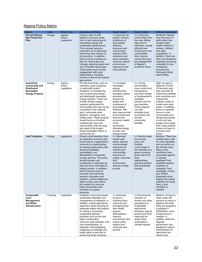# Nigeria Policy Matrix

| Name                                                                                             | Tags    | <b>Policy Type</b>               | <b>Description of Policy</b>                                                                                                                                                                                                                                                                                                                                                                                                                                                                                                                                                                                                          | Health Impact                                                                                                                                                                                                                                                                                                                         | <b>Equity Impact</b>                                                                                                                                                                                                                                                    | <b>Political Landscape</b>                                                                                                                                                                                                                                                                                                                                                                                             |
|--------------------------------------------------------------------------------------------------|---------|----------------------------------|---------------------------------------------------------------------------------------------------------------------------------------------------------------------------------------------------------------------------------------------------------------------------------------------------------------------------------------------------------------------------------------------------------------------------------------------------------------------------------------------------------------------------------------------------------------------------------------------------------------------------------------|---------------------------------------------------------------------------------------------------------------------------------------------------------------------------------------------------------------------------------------------------------------------------------------------------------------------------------------|-------------------------------------------------------------------------------------------------------------------------------------------------------------------------------------------------------------------------------------------------------------------------|------------------------------------------------------------------------------------------------------------------------------------------------------------------------------------------------------------------------------------------------------------------------------------------------------------------------------------------------------------------------------------------------------------------------|
| <b>Oil and Natural</b><br><b>Gas Phase-Out</b><br>Plan                                           | Energy  | Agency<br>Action,<br>Legislation | Create a plan to shift<br>Nigeria's economy away<br>from oil and natural gas to<br>renewable energy and<br>sustainable agrobusiness.<br>This includes reducing<br>production of oil while also<br>improving other sectors of<br>the economy. In addition,<br>there must be a phase-out<br>plan for natural gas that<br>includes reducing export and<br>use of liquified natural gas.<br>These plans must include<br>engagement with local<br>stakeholders, including<br>workers in the oil and natural<br>gas sectors.                                                                                                                | (+) Improves air<br>quality, reduces<br>incidences of<br>lung-related<br>illnesses,<br>improves built<br>environment,<br>reduces GHG<br>emissions and<br>other pollutants,<br>improves natural<br>environment,<br>reduces oil and<br><b>LNG</b> pollution                                                                             | $(+)$ : Improving<br>communities who<br>live near drilling<br>sites and oil<br>refineries, usually<br>affecting low-<br>income and rural<br>communities.<br>Also improve<br>community input<br>and engagement<br>in Nigeria's<br>economic future                        | Moderate: Nigeria<br>has had many oil<br>spills which has<br>caused maior<br>health impacts to<br>women, children,<br>and older<br>populations. In<br>addition, there has<br>been conversations<br>regarding removing<br>subsidies for fuel<br>companies,<br>including the<br>Petroleum Motor<br>Spirit (PMS).                                                                                                         |
| Incentivize<br><b>Community and</b><br><b>Distributed</b><br>Renewable<br><b>Energy Projects</b> | Energy  | Agency<br>Action,<br>Legislation | Provide incentives, such as<br>subsidies, grant programs,<br>or nationally funded<br>programs, to increase the<br>use of community-based<br>and distributed renewable<br>energy projects. These can<br>include off-grid energy<br>systems (particularly for<br>communities who are not yet<br>connected to the national<br>grid), community solar<br>gardens, microgrids, and<br>rooftop solar. These projects<br>should focus on frontline,<br>underserved, and rural<br>communities, with the long-<br>term goal of the project<br>being completely citizen or<br>community run.                                                    | $(+)$ : Increase<br>renewable<br>energy<br>infrastructure,<br>decrease carbon<br>emissions,<br>improve air<br>quality and<br>incidences of<br>lung-related<br>illnesses. Will<br>also improve built<br>environment and<br>improve the<br>economic health<br>of the<br>community.<br>Alleviate energy<br>poverty and<br>energy burden. | $(+)$ : Giving<br>communities<br>more control and<br>transparency<br>over their energy<br>is fundamental to<br>equitable<br>practice and the<br>just transition.<br>These projects<br>can also<br>revitalize local<br>economies and<br>provide<br>community<br>benefits | High: As part of<br>Nigeria's COVID-<br>19 recovery plan<br>they removed all<br>fossil fuel subsidies<br>and incentives and<br>instead has<br>outlined a plan to<br>install more solar<br>power. In addition,<br>there is a specific<br>focus on rural<br>communities and<br>off-grid technology<br>to not only help<br>people move away<br>from using biofuels<br>indoors but also to<br>increase solar<br>power.     |
| <b>Just Transition</b>                                                                           | Energy  | Legislation                      | Ensure a just transition from<br>an extractive economy with<br>fossil fuels to a regenerative<br>economy by implementing<br>an energy justice policy that<br>ensures availability,<br>accessibility, and<br>affordability to renewable<br>energy services. This policy<br>should include rural<br>households in particular as<br>they are more vulnerable to<br>energy poverty. In addition,<br>there must be a plan to<br>promote and incentivize<br>women's education and<br>freedom, protect Indigenous<br>rights to land, and ensure<br>job creation for previous<br>fossil fuel workers who<br>transition to a green<br>economy. | $(+)$ Improves<br>worker well-<br>being, reduces<br>environmental<br>exposures for<br>workers and<br>communities,<br>improves air<br>quality, improves<br>built<br>environment,<br>reduces energy<br>poverty                                                                                                                          | (+) Directly helps<br>low-income,<br>rural, and<br>frontline<br>communities in<br>the transition to a<br>green economy,<br>gives input from<br>local<br>stakeholders,<br>prevents policies<br>that exacerbate<br>inequity                                               | Medium: There has<br>already been calls<br>for more equitable<br>and just action on<br>the climate crisis.<br>Many youth<br>mobilizers have<br>advocated against<br>a "climate<br>apartheid" that<br>amplifies existing<br>problems of<br>inequality, food<br>shortages, crimes,<br>and conflict.<br><b>Especially since</b><br>Nigeria has ended<br>subsidies for fossil<br>fuels, a just<br>transition is<br>needed. |
| <b>Sustainable</b><br>Land<br>Management<br>and Water<br>Infrastructure                          | Food/Ag | Legislation                      | Establish community-based<br>sustainable utilization and<br>management of wetlands. In<br>addition, restrict agricultural<br>expansion while ensuring an<br>adequate safety net program<br>for farmers. Promoting<br>sustainable farming<br>practices such as soil and<br>water conservation,<br>improved seed varieties, and<br>crop diversification, is<br>essential. Acknowledging<br>Indigenous knowledge and<br>treaty rights is also key to<br>enhancing these practices.                                                                                                                                                       | (+) Improved<br>access to<br>nutritious food,<br>improved soil,<br>and agricultural<br>land health,<br>prevent<br>deforestation,<br>improve<br>environment and<br>carbon sinks,<br>reduce food<br>insecurity and<br>poverty                                                                                                           | (+) Ensuring the<br>inclusion of<br>women and other<br>populations to<br>sustainable<br>agricultural<br>practices, reduce<br>poverty and food<br>insecurity for<br>areas most<br>vulnerable to<br>climate impacts                                                       | Medium: Access to<br>clean water still<br>remains an issue in<br>Nigeria and while<br>there are programs<br>to address it<br>(PEWASH), more<br>infrastructure is<br>needed. In<br>addition, while the<br>Nigerian<br>government has<br>pledged to reduce<br>deforestation for<br>agriculture but<br>needs more                                                                                                         |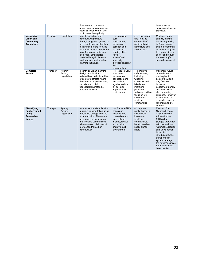|                                                                       |           |                                  | Education and outreach<br>about sustainable practices,<br>specifically for women and<br>youth, must be a priority.                                                                                                                                                                                                      |                                                                                                                                                                                               |                                                                                                                                                                                                      | investment in<br>sustainable farming<br>practices.                                                                                                                                                                                                                                                                            |
|-----------------------------------------------------------------------|-----------|----------------------------------|-------------------------------------------------------------------------------------------------------------------------------------------------------------------------------------------------------------------------------------------------------------------------------------------------------------------------|-----------------------------------------------------------------------------------------------------------------------------------------------------------------------------------------------|------------------------------------------------------------------------------------------------------------------------------------------------------------------------------------------------------|-------------------------------------------------------------------------------------------------------------------------------------------------------------------------------------------------------------------------------------------------------------------------------------------------------------------------------|
| Incentivize<br>Urban and<br>Community<br><b>Agriculture</b>           | Food/Aq   | Legislation                      | Incentivize urban and<br>community agriculture<br>through programs, grants, or<br>taxes, with special attention<br>to low-income and frontline<br>communities who benefit the<br>most from ownership over<br>local food. Emphasizes<br>sustainable agriculture and<br>land management in urban<br>planning initiatives. | $(+)$ : Improved<br>built<br>environment.<br>reduce air<br>pollution and<br>urban island<br>heating effect,<br>Food<br>access/food<br>insecurity,<br>increased healthy<br>food<br>consumption | $(+)$ : Low-income<br>and frontline<br>communities'<br>participation in<br>agriculture and<br>food access                                                                                            | Medium: Urban<br>and city farming<br>has been growing<br>in Abuja, mainly<br>due to government<br>incentives to grow<br>the agrobusiness<br>sector and reduce<br>the economy's<br>dependence on oil.                                                                                                                          |
| Complete<br><b>Streets</b>                                            | Transport | Agency<br>Action,<br>Legislation | Incentivize urban planning<br>design on a local and<br>national level to include idea<br>of complete streets where<br>the focus is on pedestrians.<br>cyclists, and public<br>transportation instead of<br>personal vehicles.                                                                                           | (+): Reduce GHG<br>emissions.<br>reduces road<br>congestion and<br>road-related<br>injuries, reduce<br>air pollution,<br>improve built<br>environment                                         | $(+)$ : Improve<br>safer streets,<br>including<br>widening<br>sidewalks and<br>bike lanes.<br>improving<br>pedestrian<br>walkways, with a<br>focus on low-<br>income and<br>frontline<br>communities | Moderate: Abuja<br>currently has a<br>masterplan to<br>design the Abuja<br>City Centre to<br>increase<br>pedestrian-friendly<br>walkways while<br>also promoting<br>business. However,<br>this needs to be<br>expanded across<br>Nigerian and city<br>centers.                                                                |
| Electrifying<br><b>Public Transit</b><br>Usina<br>Renewable<br>Energy | Transport | Agency<br>Action.<br>Legislation | Incentivize the electrification<br>of public transportation using<br>renewable energy, such as<br>solar and wind. There must<br>be a focus on low-income<br>and frontline communities<br>who may use public transit<br>more often than other<br>communities.                                                            | (+): Reduce GHG<br>emissions,<br>reduces road<br>congestion and<br>road-related<br>injuries, reduce<br>air pollution,<br>improve built<br>environment                                         | $(+)$ Improve<br>public transit to<br>include low-<br>income and<br>frontline<br>communities,<br>help to level out<br>public transit<br>riders                                                       | Medium: The<br>Nigerian Federal<br><b>Capital Territory</b><br>Administration<br>(FCTA) has<br>pledged to partner<br>with the National<br><b>Automotive Design</b><br>and Development<br>Council to<br>introduce electric<br>transportation<br>system in Abuja,<br>the nation's capital.<br>But this needs to<br>be expanded. |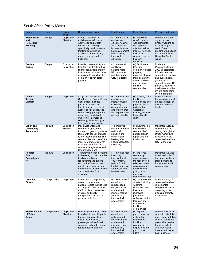# South Africa Policy Matrix

| Name                                                | Tags           | Policy<br>Type            | <b>Description of Policy</b>                                                                                                                                                                                                                                                                                                        | <b>Health Impact</b>                                                                                                                                        | <b>Equity Impact</b>                                                                                                                                                                           | <b>Political Landscape</b>                                                                                                                                                                                                                                 |
|-----------------------------------------------------|----------------|---------------------------|-------------------------------------------------------------------------------------------------------------------------------------------------------------------------------------------------------------------------------------------------------------------------------------------------------------------------------------|-------------------------------------------------------------------------------------------------------------------------------------------------------------|------------------------------------------------------------------------------------------------------------------------------------------------------------------------------------------------|------------------------------------------------------------------------------------------------------------------------------------------------------------------------------------------------------------------------------------------------------------|
| Weatherized<br>and<br><b>Retrofitted</b><br>Housing | Energy         | Legislation,<br>Ministry  | Create a program to<br>mobilize a workforce to<br>weatherize and retrofit<br>houses and buildings,<br>specifically low-income and<br>frontline communities.<br>Applies to homeowners.<br>renters, and general<br>buildings.                                                                                                         | (+) Improve living<br>environment,<br>efficient heating<br>and cooling in<br>houses, improve<br>built environment,<br>reduce GHG,<br>improved<br>efficiency | (+) Mobilizing<br>workforce with<br>workers' rights<br>with specific<br>attention to low-<br>income, frontline,<br>fossil fuel<br>workers, etc. to<br>help with<br>transition                  | Moderate: Several<br>organizations<br>already working on<br>this including the<br><b>World Green</b><br><b>Building Council and</b><br>the Green Building<br>Council of South<br>Africa.                                                                   |
| Feed-in<br><b>Tariffs</b>                           | Energy         | Executive,<br>Legislation | Provide price certainty and<br>long-term contracts to help<br>finance renewable energy<br>investments, with particular<br>incentives for small-scale,<br>community driven solar<br>projects.                                                                                                                                        | (+) Improve air<br>quality by<br>building more<br>RE, reduce air<br>pollution, reduce<br><b>GHG</b> emissions                                               | (+) Build more<br>local and<br>community-based<br>projects,<br>potentially having<br>more community<br>ownership over<br>energy, focus on<br>frontline<br>communities                          | Moderate:<br>Previously done in<br>2007 to accelerate<br>RE infrastructure,<br>supported by justice<br>and public health<br>groups. Also<br>support for local RE<br>projects, especially<br>rural areas with the<br>off-grid solar home<br>system program. |
| <b>Climate</b><br><b>Justice</b><br>Charter         | Energy         | Legislation               | Adopt the Climate Justice<br>Charter in the South African<br>Constitution. Includes<br>principles of deep just<br>transitions such as climate<br>justice, social justice, eco-<br>centric living, participatory<br>democracy, socialized<br>ownership, international<br>solidarity, decoloniality, and<br>intergenerational justice | (+) Improves built<br>environment,<br>improves worker<br>wellbeing,<br>quarantees food<br>and water rights,<br>and improves job<br>and work health          | (+): Directly helps<br>frontline<br>communities and<br>prevents more<br>policies that<br>exacerbate<br>inequity, equity is<br>foundational in<br>charter                                       | Moderate: Push<br>from environmental<br>groups to adopt on<br>national and local<br>levels                                                                                                                                                                 |
| Urban and<br>Community<br><b>Agriculture</b>        | Food/Ag        | Legislation,<br>Ministry  | Incentivize urban and<br>community agriculture<br>through programs, grants, or<br>taxes, with special attention<br>to low-income and frontline<br>communities who benefit the<br>most from ownership over<br>local food. Emphasizes<br>sustainable agriculture and<br>land management                                               | $(+)$ : Improved<br>built environment,<br>reduce air<br>pollution and<br>urban island<br>heating effect,<br>Food access/food<br>insecurity                  | (+): Low-income<br>and frontline<br>communities'<br>participation in<br>agriculture and<br>food access                                                                                         | Moderate: Already<br>implemented in<br>Joburg through the<br>Urban Agriculture<br>Initiative with the<br>Johannesburg Inner<br>City Partnership                                                                                                            |
| Peoples'<br>Food<br>Sovereignty<br>Act              | Food/Ag        | Legislation               | Transforms the food system<br>by breaking up the control of<br>food corporation and<br>repositioning the state to<br>realize the Constitutional<br>right to food; also includes<br>an emphasis on small-scale<br>and sustainable food<br>systems                                                                                    | (+) Improves food<br>insecurity,<br>improved built<br>environment,<br>reduce food in<br>landfills, improve<br>food access and<br>healthy foods              | (+) Improves<br>community<br>ownership over<br>the food system,<br>relies on small-<br>scale community<br>food systems<br>giving more<br>equitable<br>ownership of food                        | Moderate: Act was<br>introduced in 2016<br>but has since been<br>stalled. Pushback<br>from current food<br>corporations                                                                                                                                    |
| Complete<br><b>Streets</b>                          | Transportation | Legislation               | Incentivize urban planning<br>design on a local and<br>national level to include idea<br>of complete streets where<br>the focus is on pedestrians,<br>cyclists, and public<br>transportation instead of<br>personal vehicles.                                                                                                       | (+): Reduce GHG<br>emissions,<br>reduces road<br>congestion and<br>road-related<br>injuries, reduce<br>air pollution,<br>improve built<br>environment       | (+): Improve safer<br>streets, including<br>widening<br>sidewalks and<br>bike lanes,<br>improving<br>pedestrian<br>walkways, with a<br>focus on low-<br>income and<br>frontline<br>communities | Moderate: City of<br>Johannesburg has<br>implemented<br>complete streets in<br>designing urban<br>planning. Potential<br>for upscaling                                                                                                                     |
| Electrification<br>of Public<br><b>Transit</b>      | Transportation | Legislation,<br>Ministry  | Provide grant funding and/or<br>incentives to electrify public<br>transit systems including<br>buses, school buses,<br>passenger rail, and fleet<br>vehicles, and modernizing<br>roads, bridges, and rail.                                                                                                                          | (+): Reduce GHG<br>emissions,<br>reduces road<br>congestion and<br>road-related<br>injuries, reduce<br>air pollution,<br>improve built<br>environment       | $(+)$ Improve<br>public transit to<br>include low-<br>income and<br>frontline<br>communities,<br>help to level out<br>public transit<br>riders                                                 | Moderate: Relative<br>support to electrify<br>public transportation<br>such as buses but<br>potential opposition<br>from taxi industry<br>who may rather<br>have incentives for<br>EVs in general                                                          |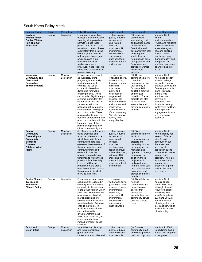# South Korea Policy Matrix

| Name of Policy                                                                                                                          | Tags   | Policy Type              | <b>Policy Description</b>                                                                                                                                                                                                                                                                                                                                                                                                                                                                                                                                                            | <b>Health Impact</b>                                                                                                                                                                                                                                                                                                            | <b>Equity Impact</b>                                                                                                                                                                                                                                                                                                                         | <b>Political Landscape</b>                                                                                                                                                                                                                                                                                                         |
|-----------------------------------------------------------------------------------------------------------------------------------------|--------|--------------------------|--------------------------------------------------------------------------------------------------------------------------------------------------------------------------------------------------------------------------------------------------------------------------------------------------------------------------------------------------------------------------------------------------------------------------------------------------------------------------------------------------------------------------------------------------------------------------------------|---------------------------------------------------------------------------------------------------------------------------------------------------------------------------------------------------------------------------------------------------------------------------------------------------------------------------------|----------------------------------------------------------------------------------------------------------------------------------------------------------------------------------------------------------------------------------------------------------------------------------------------------------------------------------------------|------------------------------------------------------------------------------------------------------------------------------------------------------------------------------------------------------------------------------------------------------------------------------------------------------------------------------------|
| <b>Coal and</b><br><b>Nuclear Phase-</b><br>Out by 2028 as<br>Part of a Just<br><b>Transition</b>                                       | Energy | Legislation              | Ensure no new coal and<br>nuclear plants are built by<br>stopping all approvals and<br>permits to build these<br>plants. In addition, create<br>a coal and nuclear phase-<br>out strategy that is in line<br>with the global need to<br>reduce greenhouse gas<br>emissions and a just<br>transition that helps<br>workers who were<br>previously in the fossil fuel<br>industry to be retrained in<br>a green economy.                                                                                                                                                               | (+) Improves air<br>quality, reduces<br>incidences of<br>lung-related<br>illnesses,<br>improves built<br>environment,<br>reduces GHG<br>emissions and<br>other pollutants,<br>improves natural<br>environment                                                                                                                   | $(+)$ Improves<br>communities<br>surrounding coal<br>and nuclear plants<br>that may suffer<br>from toxins and<br>pollutants from coal<br>and long-term<br>waste disposal<br>from nuclear, calls<br>for a just transition<br>for workers who<br>previously worked<br>in fossil fuel<br>industry                                               | Medium: South<br>Korean<br>environmentalists.<br>NGOs, and residents<br>have already been<br>advocates against<br>new and existing<br>nuclear power<br>plants, deeming<br>them unhealthy and<br>dangerous. In<br>addition, coal is seen<br>as unprofitable by<br>2028.                                                             |
| Incentivize<br><b>Community and</b><br><b>Distributed</b><br>Renewable<br><b>Energy Projects</b>                                        | Energy | Ministry<br>Legislation  | Provide incentives, such<br>as subsidies, grant<br>programs, or nationally<br>funded programs, to<br>increase the use of<br>community-based and<br>distributed renewable<br>energy projects. These<br>can include off-grid energy<br>systems (particularly for<br>communities who are not<br>yet connected to the<br>national grid), community<br>solar gardens, microgrids,<br>and rooftop solar. These<br>projects should focus on<br>frontline, underserved, and<br>rural communities, with the<br>long-term goal of the<br>project being completely<br>citizen or community run. | $(+)$ : Increase<br>renewable energy<br>infrastructure.<br>decrease carbon<br>emissions,<br>improve air<br>quality and<br>incidences of<br>lung-related<br>illnesses. Will<br>also improve built<br>environment and<br>improve the<br>economic health<br>of the community.<br>Alleviate energy<br>poverty and<br>energy burden. | $(+)$ : Giving<br>communities more<br>control and<br>transparency over<br>their energy is<br>fundamental to<br>equitable practice<br>and the just<br>transition. These<br>projects can also<br>revitalize local<br>economies and<br>provide community<br>benefits                                                                            | Medium: South<br>Korea has already<br>invested in large<br>renewable energy<br>projects, such as the<br>Saemangeum solar<br>plant. However,<br>there is less<br>emphasis on<br>community-<br>ownership and<br>distributed energy<br>systems. In addition,<br>more input and<br>engagement in rural<br>communities is<br>essential. |
| <b>Ensure</b><br>Community-<br>Ownership and<br>Community<br><b>Boards to</b><br><b>Oversee</b><br><b>Offshore Wind</b><br><b>Farms</b> | Energy | Ministry,<br>Legislation | As offshore wind farms are<br>being proposed and<br>approved, there must be<br>stipulations to include a<br>community board that<br>oversees the operations of<br>the wind farm to ensure<br>community input and<br>ownership over the<br>project, especially local<br>fishermen to which these<br>projects affect their daily<br>lives. In addition, a<br>proportion of the profits<br>must be dedicated back to<br>the community in which<br>the wind farm is in.                                                                                                                  | (+) Improves air<br>quality, reduces<br>incidences of<br>lung-related<br>illnesses,<br>improves<br>cardiovascular<br>health, improves<br>built environment,<br>reduces GHG<br>emissions and<br>other pollutants,<br>improves natural<br>environment                                                                             | $(+)$ Gives<br>communities more<br>input into<br>renewable energy<br>projects and<br>ownership of how<br>these projects are<br>managed and<br>operated on a long-<br>term scale. In<br>addition, these<br>projects, with<br>dedicated funds<br>from the farm, can<br>help revitalize local<br>economies and<br>provide community<br>benefits | Medium: South<br>Korea already has<br>several offshore<br>wind farms in<br>construction but<br>there has been<br>some local<br>opposition due to<br>concerns for marine<br>life and noise<br>pollution. There are<br>also projects that<br>already gives a<br>proportion of profit<br>back to the local<br>community.              |
| Center Climate<br><b>Justice and</b><br><b>Health into</b><br><b>Climate Policy</b>                                                     | Energy | Legislation              | Ensure current and future<br>climate policy is rooted in<br>climate justice and health,<br>especially in the creation<br>of the South Korean Green<br>New Deal. There must be<br>provisions for historically<br>marginalized and low-<br>income communities who<br>face the effects of climate<br>change the worse. In<br>addition, it must address<br>carbon inequality,<br>divestment from fossil<br>fuels, a just transition, and<br>emission reductions<br>instead of market-based<br>solutions.                                                                                 | $(+)$ : Improves<br>worker well-being,<br>guarantees health<br>impacts, reduces<br>environmental<br>exposures.<br>improves built<br>environment,<br>reduces GHG<br>emissions and<br>other pollutants                                                                                                                            | (+): Directly helps<br>frontline<br>communities and<br>prevents more<br>policies that<br>exacerbate<br>inequity, improves<br>community power<br>over the climate<br>crisis                                                                                                                                                                   | Medium: South<br>Korea's current<br>Green New Deal,<br>although strives to<br>reduce emissions<br>drastically with<br>specific targets for<br>2030 and 2050, it<br>does not include<br>climate justice or a<br>just transition, which<br>is essential in any<br>climate policy.                                                    |
| <b>Smart and</b><br><b>Green Cities</b>                                                                                                 | Energy | Ministry,<br>Legislation | Incentivize the planning<br>and implementation of<br>green and smart<br>infrastructure for cities and                                                                                                                                                                                                                                                                                                                                                                                                                                                                                | (+) Improves air<br>quality, reduces<br>GHG emissions,<br>improves built                                                                                                                                                                                                                                                        | $(+)$ Ensures<br>community input<br>and oversight over<br>their own city/town,                                                                                                                                                                                                                                                               | Medium: In 2008,<br>South Korea had a<br>5-year plan for green<br>urban growth.                                                                                                                                                                                                                                                    |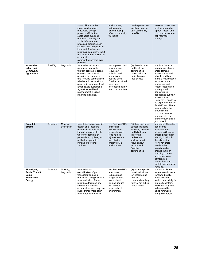|                                                                       |           |                          | towns. This includes<br>incentives for local<br>renewable energy<br>projects, efficient and<br>sustainable buildings,<br>retrofitted housing, and<br>social infrastructure<br>projects (libraries, green<br>spaces, art). Any plans to<br>improve infrastructure<br>must gain community input<br>and have a mechanism for<br>community<br>oversight/ownership over<br>projects. | environment,<br>reduces urban<br>island heating<br>effect, community<br>wellbeing                                                                                                 | can help revitalize<br>local economies,<br>gain community<br>benefits                                                                                                                       | However, there was<br>confusion on what<br>"green" meant and<br>communities where<br>not informed<br>enough.                                                                                                                                                                                                                                                                                                                                                  |
|-----------------------------------------------------------------------|-----------|--------------------------|---------------------------------------------------------------------------------------------------------------------------------------------------------------------------------------------------------------------------------------------------------------------------------------------------------------------------------------------------------------------------------|-----------------------------------------------------------------------------------------------------------------------------------------------------------------------------------|---------------------------------------------------------------------------------------------------------------------------------------------------------------------------------------------|---------------------------------------------------------------------------------------------------------------------------------------------------------------------------------------------------------------------------------------------------------------------------------------------------------------------------------------------------------------------------------------------------------------------------------------------------------------|
| Incentivize<br>Urban and<br>Community<br><b>Agriculture</b>           | Food/Ag   | Legislation              | Incentivize urban and<br>community agriculture<br>through programs, grants,<br>or taxes, with special<br>attention to low-income<br>and frontline communities<br>who benefit the most from<br>ownership over local food.<br>Emphasizes sustainable<br>agriculture and land<br>management in urban<br>planning initiatives.                                                      | (+): Improved built<br>environment,<br>reduce air<br>pollution and<br>urban island<br>heating effect,<br>Food access/food<br>insecurity,<br>increased healthy<br>food consumption | (+): Low-income<br>and frontline<br>communities'<br>participation in<br>agriculture and<br>food access                                                                                      | Medium: Seoul is<br>already investing in<br>urban farming<br>infrastructure and<br>jobs. In addition,<br>there is local support<br>for more urban<br>agriculture and<br>recent research on<br>underground<br>agriculture in<br>abandoned subway<br>infrastructure.<br>However, it needs to<br>be expanded to all of<br>South Korea. There<br>also needs to be<br>emphasis on<br>community-owned<br>and operated to<br>ensure equity and a<br>just transition. |
| Complete<br><b>Streets</b>                                            | Transport | Ministry,<br>Legislation | Incentivize urban planning<br>design on a local and<br>national level to include<br>idea of complete streets<br>where the focus is on<br>pedestrians, cyclists, and<br>public transportation<br>instead of personal<br>vehicles.                                                                                                                                                | (+): Reduce GHG<br>emissions,<br>reduces road<br>congestion and<br>road-related<br>injuries, reduce<br>air pollution,<br>improve built<br>environment                             | (+): Improve safer<br>streets, including<br>widening sidewalks<br>and bike lanes,<br>improving<br>pedestrian<br>walkways, with a<br>focus on low-<br>income and<br>frontline<br>communities | Moderate: There has<br>been some<br>investment and<br>interest in Seoul in<br>creating pedestrian-<br>friendly districts in<br>the city center.<br>However, there<br>needs to be<br>transformative<br>change in urban<br>planning to make<br>sure streets are<br>centered on<br>pedestrians and<br>cyclists, not personal<br>vehicles.                                                                                                                        |
| Electrifying<br><b>Public Transit</b><br>Using<br>Renewable<br>Energy | Transport | Ministry,<br>Legislation | Incentivize the<br>electrification of public<br>transportation using<br>renewable energy, such as<br>solar and wind. There<br>must be a focus on low-<br>income and frontline<br>communities who may use<br>public transit more often<br>than other communities.                                                                                                                | (+): Reduce GHG<br>emissions,<br>reduces road<br>congestion and<br>road-related<br>injuries, reduce<br>air pollution,<br>improve built<br>environment                             | (+) Improve public<br>transit to include<br>low-income and<br>frontline<br>communities, help<br>to level out public<br>transit riders                                                       | Moderate: South<br>Korea already has a<br>renowned public<br>transportation<br>system, especially in<br>large city centers.<br>However, they need<br>to be electrified<br>using renewable<br>energy resources.                                                                                                                                                                                                                                                |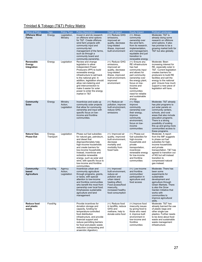# Trinidad & Tobago (T&T) Policy Matrix

| Name of Policy                             | <b>Tags</b>          | <b>Policy Type</b>                 | <b>Policy Description</b>                                                                                                                                                                                                                                                                                                                        | <b>Health Impact</b>                                                                                                                                                                 | <b>Equity Impact</b>                                                                                                                                                                                                                                              | <b>Political Landscape</b>                                                                                                                                                                                                                                                                |
|--------------------------------------------|----------------------|------------------------------------|--------------------------------------------------------------------------------------------------------------------------------------------------------------------------------------------------------------------------------------------------------------------------------------------------------------------------------------------------|--------------------------------------------------------------------------------------------------------------------------------------------------------------------------------------|-------------------------------------------------------------------------------------------------------------------------------------------------------------------------------------------------------------------------------------------------------------------|-------------------------------------------------------------------------------------------------------------------------------------------------------------------------------------------------------------------------------------------------------------------------------------------|
| <b>Offshore Wind</b><br><b>Farms</b>       | Energy               | Legislation,<br>Ministry           | Invest in and do research<br>on offshore wind options<br>for T&T. Create offshore<br>wind farm projects with<br>community input and<br>community-led<br>management of the farms,<br>such as through a<br>community board and<br>community-ownership.                                                                                             | (+): Reduce GHG<br>emissions,<br>improved air<br>quality, decrease<br>lung-related<br>illness, improved<br>built environment                                                         | $(+)$ : Allows<br>community<br>ownership over<br>the wind farm,<br>from its research,<br>implementation,<br>and management,<br>equitable and just<br>transition to<br>renewable energy                                                                            | Moderate: T&T is<br>already doing some<br>research on offshore<br>wind options. It also<br>has promise to be a<br>growing market both for<br>T&T but also globally.                                                                                                                       |
| Renewable<br>Energy<br>Integration         | Energy               | Legislation                        | Review and change<br>legislation to allow<br>Independent Power<br>Producers (IPP) to build<br>renewable energy<br>infrastructure to sell back<br>to the national grid. In<br>addition, legislation should<br>allow net-metering and<br>grid interconnection to<br>make it easier for solar<br>power to enter the energy<br>market in T&T         | (+): Reduce GHG<br>emissions,<br>improved air<br>quality, decrease<br>lung-related<br>illness, improved<br>built environment,<br>improved<br>environment                             | (+): Ensure any<br><b>RE</b> infrastructure<br>has had<br>community input<br>and allows for<br>part community<br>ownership over<br>the energy plant,<br>focus on low-<br>income and<br>frontline<br>communities<br>need for reliable<br>and sustainable<br>energy | Moderate: Been<br>increasing interest for<br>RE, especially solar in<br>T&T. Current legislation<br>creates barriers for<br>producers to build RE<br>facilities and sell the<br>energy to the national<br>grid. Unsure how much<br>support a new piece of<br>legislation will have.       |
| Community<br>Solar                         | Energy               | Ministry<br>Action,<br>Legislation | Incentivize and scale up<br>community solar projects<br>that allow for community<br>ownership and input with<br>specific focus on low-<br>income and frontline<br>communities.                                                                                                                                                                   | $(+)$ : Reduce air<br>pollution, improve<br>built environment,<br>reduce GHG<br>emissions                                                                                            | $(+)$ : Helps<br>improve<br>community<br>ownership over<br>their energy,<br>improve<br>community<br>environment,<br>focus on low-<br>income<br>communities                                                                                                        | Moderate: T&T already<br>has pilot programs to<br>put solar panels on<br>community centers,<br>schools, and rural<br>areas that also include<br>education programs.<br>There is a strong<br>possibility of scaling<br>this up and giving more<br>communities access to<br>these programs. |
| <b>Natural Gas</b><br><b>Phase-Out</b>     | Energy,<br>Transport | Legislation                        | Phase out fuel subsidies<br>for natural gas, petroleum,<br>and diesel that<br>disproportionately help<br>high-income households<br>and create barriers for<br>low-income households.<br>Instead, incentivize and<br>subsidize renewable<br>energy, such as solar and<br>wind, with specific focus to<br>low-income and frontline<br>communities. | (+): Improved air<br>quality, improved<br>built environment,<br>decrease<br>mortality and<br>morbidity from<br>fossil fuels                                                          | $(+)$ : Phase-out<br>fuel subsidies for<br>high-income<br>households and<br>private<br>transportation,<br>incentivize<br>renewable energy<br>for low-income<br>and frontline<br>communities                                                                       | Moderate: A report<br>from the IMF suggests<br>to phase out fuel<br>subsidies for high-<br>income households<br>and private<br>transportation. T&T has<br>agreed to transition out<br>of NG but will instead<br>transition to<br>compressed natural<br>gas instead.                       |
| Community-<br>based<br><b>Agriculture</b>  | Food/Ag              | Agency<br>Action,<br>Legislation   | Incentivize urban and<br>community agriculture<br>through programs, grants,<br>or taxes, with special<br>attention to low-income<br>and frontline communities<br>who benefit the most from<br>ownership over local food.<br>Emphasizes sustainable<br>agriculture and land<br>management                                                         | $(+)$ : Improved<br>built environment,<br>reduce air<br>pollution and<br>urban island<br>heating effect,<br>Food access/food<br>insecurity,<br>increased healthy<br>food consumption | (+): Low-income<br>and frontline<br>communities'<br>participation in<br>agriculture and<br>food access                                                                                                                                                            | Moderate: There has<br>been some<br>experiments for<br>sustainable<br>development and<br>agriculture through<br>Green Markets. There<br>is also the Grow<br>Garden Initiative that<br>works with<br>communities to<br>improve agricultural<br>skills.                                     |
| <b>Reduce food</b><br>and plastic<br>waste | Food/Ag              |                                    | Provide incentives for<br>donation storage and<br>capacity, funding for<br>temperature-controlled<br>food distribution<br>infrastructure, and provide<br>financial support and<br>reduce permitting barriers<br>for food and plastic waste<br>reduction (composting and<br>anaerobic digestion).                                                 | (+): Reduce food<br>in landfills, reduce<br>GHG and<br>methane, help to<br>donate extra food                                                                                         | (+) Improve food<br>insecurity issues<br>by giving food to<br>those who need<br>it, improve built<br>environment in<br>low-income and<br>frontline<br>communities                                                                                                 | Moderate: T&T has<br>already banned the use<br>of plastic bags and<br>other single-use<br>plastics. Further needs<br>to be done about food<br>waste and sustainable<br>waste management<br>infrastructure.                                                                                |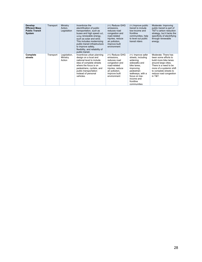| <b>Develop</b><br><b>Efficient Mass</b><br><b>Public Transit</b><br>System | Transport | Ministry<br>Action.<br>Legislation | Incentivize the<br>electrification of public<br>transportation, such as<br>buses and high speed rail,<br>using renewable energy,<br>such as solar and wind.<br>This includes modernizing<br>public transit infrastructure<br>to improve safety,<br>flexibility, and reliability of<br>public transit. | (+): Reduce GHG<br>emissions.<br>reduces road<br>congestion and<br>road-related<br>injuries, reduce<br>air pollution,<br>improve built<br>environment | (+) Improve public<br>transit to include<br>low-income and<br>frontline<br>communities, help<br>to level out public<br>transit riders                                                          | Moderate: Improving<br>public transit is part of<br>T&T's carbon reduction<br>strategy, but it lacks the<br>specificity of electrifying<br>through renewable<br>energy.                                          |
|----------------------------------------------------------------------------|-----------|------------------------------------|-------------------------------------------------------------------------------------------------------------------------------------------------------------------------------------------------------------------------------------------------------------------------------------------------------|-------------------------------------------------------------------------------------------------------------------------------------------------------|------------------------------------------------------------------------------------------------------------------------------------------------------------------------------------------------|------------------------------------------------------------------------------------------------------------------------------------------------------------------------------------------------------------------|
| Complete<br>streets                                                        | Transport | Legislation,<br>Ministry<br>Action | Incentivize urban planning<br>design on a local and<br>national level to include<br>idea of complete streets<br>where the focus is on<br>pedestrians, cyclists, and<br>public transportation<br>instead of personal<br>vehicles.                                                                      | (+): Reduce GHG<br>emissions.<br>reduces road<br>congestion and<br>road-related<br>injuries, reduce<br>air pollution,<br>improve built<br>environment | (+): Improve safer<br>streets, including<br>widening<br>sidewalks and<br>bike lanes.<br>improving<br>pedestrian<br>walkways, with a<br>focus on low-<br>income and<br>frontline<br>communities | Moderate: There has<br>been some efforts to<br>build more bike lanes<br>around large cities.<br>There is a need to be<br>more of a systemic shift<br>to complete streets to<br>reduce road congestion<br>in T&T. |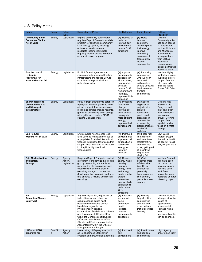# U.S. Policy Matrix

| Name                                                                                 | Sector      | Policy<br><b>Type</b>            | <b>Description of Policy</b>                                                                                                                                                                                                                                                                                                                                                                                                                        | <b>Health Impact</b>                                                                                                                                                                                      | <b>Equity Impact</b>                                                                                                                                                                                | <b>Political</b><br>Feasibility                                                                                                                                                                                                          |
|--------------------------------------------------------------------------------------|-------------|----------------------------------|-----------------------------------------------------------------------------------------------------------------------------------------------------------------------------------------------------------------------------------------------------------------------------------------------------------------------------------------------------------------------------------------------------------------------------------------------------|-----------------------------------------------------------------------------------------------------------------------------------------------------------------------------------------------------------|-----------------------------------------------------------------------------------------------------------------------------------------------------------------------------------------------------|------------------------------------------------------------------------------------------------------------------------------------------------------------------------------------------------------------------------------------------|
| <b>Community Solar</b><br><b>Consumer Choice</b><br><b>Act of 2020</b>               | Energy      | Legislation                      | Expand community solar energy,<br>requires Dept of Energy to establish<br>program for expanding community<br>solar energy options, including<br>options for low-income and<br>moderate-income individuals,<br>requiring electric utilities to offer a<br>community solar program.                                                                                                                                                                   | (+): Reduce air<br>pollution,<br>improve built<br>environment,<br>reduce GHG<br>emissions                                                                                                                 | $(+)$ : Helps<br>improve<br>community<br>ownership over<br>their energy,<br>improve<br>community<br>environment,<br>focus on low-<br>income<br>communities                                          | Medium:<br>Community solar<br>has been passed<br>in many states<br>such as Colorado<br>and Minnesota,<br>but there has<br>been pushback<br>from utilities,<br>especially<br>investor-owned<br>utilities as this will<br>not make profit. |
| Ban the Use of<br>Hydraulic<br><b>Fracturing for</b><br><b>Natural Gas and Oil</b>   | Energy      | Legislation                      | Prohibit federal agencies from<br>issuing permits to expand fracking<br>infrastructure and require EPA to<br>complete surveys of all oil and<br>natural gas wells                                                                                                                                                                                                                                                                                   | (+) Improve<br>environmental<br>exposures in<br>air and water,<br>improved air<br>pollution,<br>reduce GHG<br>from methane<br>leakages,<br>improved birth<br>outcomes                                     | $(+)$ : Improving<br>communities<br>who live near<br>wells and<br>drilling sites,<br>usually affecting<br>low-income and<br>frontline<br>communities                                                | Medium: Highly<br>contentious issue,<br>but gaining more<br>support from the<br>left, especially<br>after the Texas<br>Power Grid Crisis.                                                                                                |
| <b>Energy Resilient</b><br><b>Communities Act</b><br>and Microgrid<br>Infrastructure | Energy      | Legislation                      | Require Dept of Energy to establish<br>a program to award grants to make<br>critical energy infrastructure more<br>resilient to climate change hazards,<br>grants for developing clean energy<br>microgrids, and create a FEMA<br><b>Hazard Mitigation Plan</b>                                                                                                                                                                                     | (+): Preparing<br>for climate<br>change,<br>improve air<br>pollution with<br>microgrids,<br>more efficient<br>energy,<br>improved built<br>environment                                                    | $(+)$ : Specific<br>eligibility for<br>projects with<br>greatest<br>reduction of<br>public health<br>disparities in<br>communities<br>experiencing<br>disproportionate<br>level of air<br>pollution | Medium: Not<br>passed in last<br>Congress and<br>may have push<br>back from fossil<br>fuel interest<br>groups. Growing<br>support from<br>legislators who<br>focus on climate<br>change                                                  |
| <b>End Polluter</b><br>Welfare Act of 2020                                           | Energy      | Legislation                      | Ends several incentives for fossil<br>fuels such as restrictions on use of<br>appropriated funds by international<br>financial institutions for projects that<br>support fossil fuels and an increase<br>in oil spill liability trust fund<br>financing rate                                                                                                                                                                                        | $(+)$ : Improved<br>environmental<br>exposure, help<br>to transition to<br>renewable<br>energy to<br>lower air<br>pollution                                                                               | (+): Fossil fuel<br>infrastructure<br>and incentives<br>affect frontline<br>communities<br>more; getting rid<br>of incentives<br>help to level<br>playing field                                     | Low: Large<br>interest groups<br>that will be hard to<br>go against (fossil<br>fuel, oil, gas, etc.).                                                                                                                                    |
| <b>Grid Modernization</b><br>and Battery<br><b>Storage</b>                           | Energy      | Agency<br>Action,<br>Legislation | Requires Dept of Energy to conduct<br>a program to modernize the electric<br>grid by developing standards to<br>compare the storage capacity and<br>capabilities of different types of<br>electricity storage, promotes the<br>development of micro-grid systems,<br>and ensures a reliable and resilient<br>electric grid.                                                                                                                         | (+): Reduces<br>energy waste,<br>possibly<br>improves<br>energy rates<br>and energy<br>burden, better<br>equips<br>renewable<br>energy which<br>can lower air<br>pollution and<br><b>GHG</b><br>emissions | $(+)$ : Grid<br>becomes more<br>efficient with<br>benefits to<br>affordability<br>potentially<br>lowering energy<br>cost burden,<br>prevents power<br>outages                                       | Medium: Several<br>bills have been<br>introduced but<br>have not passed.<br>Possible push<br>back from<br>regional system<br>operators or other<br>interest groups.                                                                      |
| Just<br><b>Transition/Climate</b><br><b>Equity Act</b>                               | Energy      | Legislation                      | Any new legislation, regulation, or<br>federal investment related to<br>climate change issues must<br>determine the impacts of such<br>legislation, regulation, or<br>investments on frontline<br>communities. Establishes a Climate<br>and Environmental Equity Office<br>within the Congressional Budget<br>Office and establishes an Office<br>Climate and Environmental Justice<br>Accountability within the Office of<br>Management and Budget | $(+)$ : Improves<br>worker well-<br>being,<br>guarantees<br>health<br>impacts,<br>reduces<br>environmental<br>exposures                                                                                   | $(+)$ : Directly<br>helps frontline<br>communities<br>and prevents<br>more policies<br>that exacerbate<br>inequity                                                                                  | Medium: Multiple<br>attempts at similar<br>pieces of<br>legislation but<br>unsuccessful.<br>Perhaps with a<br>new<br>administration this<br>can be changed.                                                                              |
| <b>HUD and USDA</b><br>programs for                                                  | Food/A<br>g | Agency<br>Action                 | Use existing HUD programs (such<br>as Neighborhood Stabilization<br>Program and Brownfields Economic                                                                                                                                                                                                                                                                                                                                                | (+): Improved<br>built<br>environment,                                                                                                                                                                    | (+): Low-income<br>and frontline<br>communities'                                                                                                                                                    | High: Agency<br>under Biden likely                                                                                                                                                                                                       |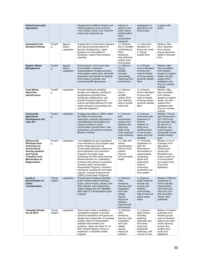| <b>Urban/Community</b><br><b>Agriculture</b>                                                                                                                                     |                    |                                  | Development Initiative Grants) and<br>USDA programs (such as Know<br>Your Farmer, Know Your Food) for<br>urban and community ag                                                                                                                                                                                                                                                                                                                                                                                     | reduce air<br>pollution and<br>urban island<br>heating effect.<br>Food<br>access/food<br>insecurity                                                                       | participation in<br>agriculture and<br>food access                                                                                                                                                   | to agree with<br>policy                                                                                                                                                                 |
|----------------------------------------------------------------------------------------------------------------------------------------------------------------------------------|--------------------|----------------------------------|---------------------------------------------------------------------------------------------------------------------------------------------------------------------------------------------------------------------------------------------------------------------------------------------------------------------------------------------------------------------------------------------------------------------------------------------------------------------------------------------------------------------|---------------------------------------------------------------------------------------------------------------------------------------------------------------------------|------------------------------------------------------------------------------------------------------------------------------------------------------------------------------------------------------|-----------------------------------------------------------------------------------------------------------------------------------------------------------------------------------------|
| <b>Expanded Food</b><br><b>Donation Policies</b>                                                                                                                                 | Food/A<br>g        | Agency<br>Action,<br>Legislation | Expand farm to food bank programs<br>and reduce financial barrier of<br>farmers donating food, clarify<br>guidance on food safety for<br>donations, require food donation<br>reporting                                                                                                                                                                                                                                                                                                                              | $(+)$ : Reduce<br>food in landfills<br>contributing to<br>GHG<br>emissions,<br>help distribute<br>healthy food,<br>food access                                            | $(+)$ : Give food<br>donations to<br>those who need<br>it, reduce<br>wasted food                                                                                                                     | Medium: May<br>have influence<br>from interest<br>groups about the<br>safety of donated<br>food                                                                                         |
| <b>Organic Waste</b><br>Management                                                                                                                                               | Food/A<br>g        | Agency<br>Action,<br>Legislation | Disincentivize, limit or ban food<br>from landfills, incentivize<br>implementation of state and local-<br>level organic waste bans, eliminate<br>restrictions and barriers to feeding<br>food scraps to animals, and<br>increase landfill tipping fees                                                                                                                                                                                                                                                              | $(+)$ : Reduce<br>food in<br>landfills,<br>increase<br>composting,<br>improving built<br>environment                                                                      | $(+)$ : Ensures<br>food is allocated<br>to those who<br>need it instead<br>of being wasted,<br>prevents wasted<br>labor                                                                              | Medium: May<br>have pushback<br>from interest<br>groups on organic<br>waste, but also<br>support from<br>legislators who<br>focus on climate<br>change                                  |
| <b>Food Waste</b><br><b>Reduction</b><br>Infrastructure                                                                                                                          | Food/A<br>g        | Legislation                      | Provide funding for donation<br>storage and capacity, funding for<br>temperature-controlled food<br>distribution infrastructure, and<br>provide financial support and<br>reduce permitting barriers for food<br>waste reduction (composting and<br>anaerobic digestion)                                                                                                                                                                                                                                             | $(+)$ : Reduce<br>food in<br>landfills,<br>reduce GHG<br>and methane.<br>help to donate<br>extra food                                                                     | $(+)$ : Ensures<br>food is allocated<br>to those who<br>need it instead<br>of being wasted,<br>prevents wasted<br>labor                                                                              | Medium: May<br>have pushback<br>from interest<br>groups on organic<br>waste, but also<br>support from<br>legislators who<br>focus on climate<br>change                                  |
| <b>Community</b><br><b>Agriculture</b><br>Development and<br><b>Jobs Act</b>                                                                                                     | Food/A<br>g        | Legislation                      | Creates new office in USDA called<br>the Office of Community<br>Agriculture, promote agriculture in<br>nontraditional communities and<br>improve nutrition in such<br>communities, provide loans, loan<br>guarantees, and grants to expand<br>farmers' markets                                                                                                                                                                                                                                                      | $(+)$ : Improve<br>built<br>environment,<br>reduce food<br>desserts and<br>insecurity,<br>helps bring<br>more local and<br>more nutritious<br>food                        | $(+)$ Improve<br>community with<br>expansion of<br>farmers<br>markets, to<br>bring more<br>nutritious food<br>to low-income<br>areas and food<br>desserts                                            | Medium: The act<br>was introduced in<br>2011-2012 and<br>did not pass. May<br>be hard to re-<br>introduce, but<br>could be good<br>timing with current<br>climate change<br>push        |
| <b>Reduce and</b><br><b>Eliminate Govt</b><br>incentives for<br>monocultural<br>farming systems<br>and Farmer<br><b>Transition from</b><br><b>Monoculture to</b><br>Regenerative | Food/A<br>g        | Legislation                      | Limit eligibility for govt subsidized<br>crop insurance to only include crops<br>grown using approved soil<br>conservation practices, phase out<br>govt subsidized crop insurance<br>programs for single crops.<br>incentivize full-time family farming.<br>Reward farmers for undertaking<br>practices that enhance ecological<br>functions (with Conservation<br>Stewardship Program), transform<br>training for existing US soil health<br>experts, increase funding to the<br><b>USDA Conservation Programs</b> | $(+)$ : Help with<br>carbon<br>sequestration,<br>improve food<br>system,<br>improve<br>environmental<br>health                                                            | (+): Prevents<br>exploitation of<br>labor for<br>farmworkers<br>and workers in<br>supermarkets,<br>processing<br>plants and<br>restaurants,<br>improve<br>community<br>ownership over<br>food system | Medium: A lot of<br>pushback from<br>agriculture<br>industry and<br>groups like<br>Monsanto who<br>make a profit out<br>of monoculture;<br>but support from<br>youth and<br>legislators |
| Invest in<br><b>Electrification of</b><br><b>Public</b><br><b>Transportation</b>                                                                                                 | Transp<br>ortation | Legislation                      | Provide grant funding to electrify<br>public transit systems including<br>buses, school buses, railcars, and<br>fleet vehicles, and modernizing<br>roads, bridges and rail. Modeled<br>after Dept of Transportation grant<br>program.                                                                                                                                                                                                                                                                               | $(+)$ : Reduce<br><b>GHG</b><br>emissions,<br>reduces road<br>congestion<br>and road-<br>related<br>injuries,<br>reduce air<br>pollution,<br>improve built<br>environment | $(+)$ Improve<br>public transit to<br>include low-<br>income and<br>frontline<br>communities.<br>help to level out<br>public transit<br>riders                                                       | Medium: Different<br>viewpoints on<br>how to electrify<br>transportation<br>with some who<br>want only EVs<br>and not public<br>transit. Hard<br>pushback.                              |
| <b>Complete Streets</b><br><b>Act of 2019</b>                                                                                                                                    | Transp<br>ortation | Legislation                      | Directs each state to establish a<br>competitive program to provide<br>technical assistance and grants for<br>design and construction of complete<br>streets, Dept of Transportation<br>establish benchmarks and<br>guidance, states set aside 5% of<br>their federal highway money to<br>implement a complete streets<br>program                                                                                                                                                                                   | $(+)$ : Reduce<br>GHG<br>emissions,<br>reduces road<br>congestion<br>and road-<br>related<br>injuries,<br>reduce air<br>pollution,                                        | $(+)$ : Improve<br>safer streets,<br>including<br>widening<br>sidewalks and<br>bike lanes,<br>improving<br>pedestrian<br>walkways, with<br>a focus on low-                                           | Medium: Possible<br>pushback from<br>interest groups<br>such as General<br>Motors and other<br>urban planning<br>groups. But<br>support from<br>youth and<br>legislators                |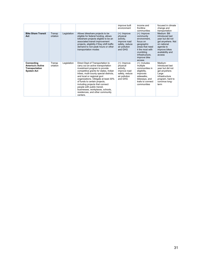|                                                                              |                    |             |                                                                                                                                                                                                                                                                                                                                                                                                                                                         | improve built<br>environment                                                                        | income and<br>frontline<br>communities                                                                                                                                  | focused in climate<br>change and<br>transportation                                                                                                  |
|------------------------------------------------------------------------------|--------------------|-------------|---------------------------------------------------------------------------------------------------------------------------------------------------------------------------------------------------------------------------------------------------------------------------------------------------------------------------------------------------------------------------------------------------------------------------------------------------------|-----------------------------------------------------------------------------------------------------|-------------------------------------------------------------------------------------------------------------------------------------------------------------------------|-----------------------------------------------------------------------------------------------------------------------------------------------------|
| <b>Bike Share Transit</b><br>Act                                             | Transp<br>ortation | Legislation | Allows bikeshare projects to be<br>eligible for federal funding, allows<br>bikeshare projects eligible to be an<br>associated transit improvement<br>projects, eligibility if they shift traffic<br>demand to non-peak hours or other<br>transportation modes                                                                                                                                                                                           | (+): Improve<br>physical<br>activity,<br>improve road<br>safety, reduce<br>air pollution<br>and GHG | $(+)$ : Improve<br>community<br>environment,<br>focus on<br>geographic<br>areas that need<br>it the most with<br>crumbling<br>infrastructure,<br>improve bike<br>access | Medium: Bill<br>introduced last<br>year but did not<br>get anywhere. Not<br>on national<br>agenda to<br>improve bikes<br>availability and<br>access |
| Connecting<br><b>America's Active</b><br>Transportation<br><b>System Act</b> | Transp<br>ortation | Legislation | Direct Dept of Transportation to<br>carry out an active transportation<br>investment program to provide<br>competitive grants for states, Indian<br>tribes, multi-county special districts,<br>and local or regional govt<br>organizations. Obligate at least 30%<br>of funds to certain projects,<br>including projects that connect<br>people with public transit,<br>businesses, workplaces, schools,<br>residences, and other community<br>centers. | (+): Improve<br>physical<br>activity,<br>improve road<br>safety, reduce<br>air pollution<br>and GHG | $(+)$ : Includes<br>multiple<br>communities in<br>eligibility,<br>improves<br>sidewalks,<br>bikeways, and<br>trails to connect<br>communities                           | Medium:<br>Introduced last<br>year but did not<br>get anywhere.<br>Large<br>infrastructure<br>program, hard to<br>convince long-<br>term            |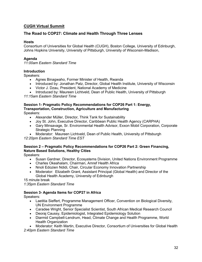# **CUGH Virtual Summit**

## **The Road to COP27: Climate and Health Through Three Lenses**

## **Hosts**

Consortium of Universities for Global Health (CUGH), Boston College, University of Edinburgh, Johns Hopkins University, University of Pittsburgh, University of Wisconsin-Madison,

## **Agenda**

*11:00am Eastern Standard Time*

## **Introduction**

Speakers:

- Agnes Binagwaho, Former Minister of Health, Rwanda
- Introduced by: Jonathan Patz, Director, Global Health Institute, University of Wisconsin
- Victor J. Dzau, President, National Academy of Medicine
- Introduced by: Maureen Lichtveld, Dean of Public Health, University of Pittsburgh

*11:15am Eastern Standard Time* 

## **Session 1- Pragmatic Policy Recommendations for COP26 Part 1: Energy, Transportation, Construction, Agriculture and Manufacturing**

Speakers:

- Alexander Müller, Director, Think Tank for Sustainability
- Joy St. John, Executive Director, Caribbean Public Health Agency (CARPHA)
- Gary Minsavage, Sr. Environmental Health Advisor, Exxon Mobil Corporation, Corporate Strategic Planning
- Moderator: Maureen Lichtveld, Dean of Public Health, University of Pittsburgh

*12:20pm Eastern Standard Time EST*

## **Session 2 – Pragmatic Policy Recommendations for COP26 Part 2: Green Financing, Nature Based Solutions, Healthy Cities**

Speakers:

- Susan Gardner, Director, Ecosystems Division, United Nations Environment Programme
- Charles Okeahalam, Chairman, Amref Health Africa
- Nnoli Edozien Ndidi, Chair, Circular Economy Innovation Partnership
- Moderator: Elizabeth Grant, Assistant Principal (Global Health) and Director of the Global Health Academy, University of Edinburgh

15 minute break

*1:35pm Eastern Standard Time*

#### **Session 3- Agenda Items for COP27 in Africa**

Speakers:

- Laetitia Sieffert, Programme Management Officer, Convention on Biological Diversity, UN Environment Programme
- Caradee Wright, Senior Specialist Scientist, South African Medical Research Council
- Deoraj Caussy, Epidemiologist, Integrated Epidemiology Solution
- Diarmid Campbell-Lendrum, Head, Climate Change and Health Programme, World Health Organization

• Moderator: Keith Martin, Executive Director, Consortium of Universities for Global Health *2:40pm Eastern Standard Time*